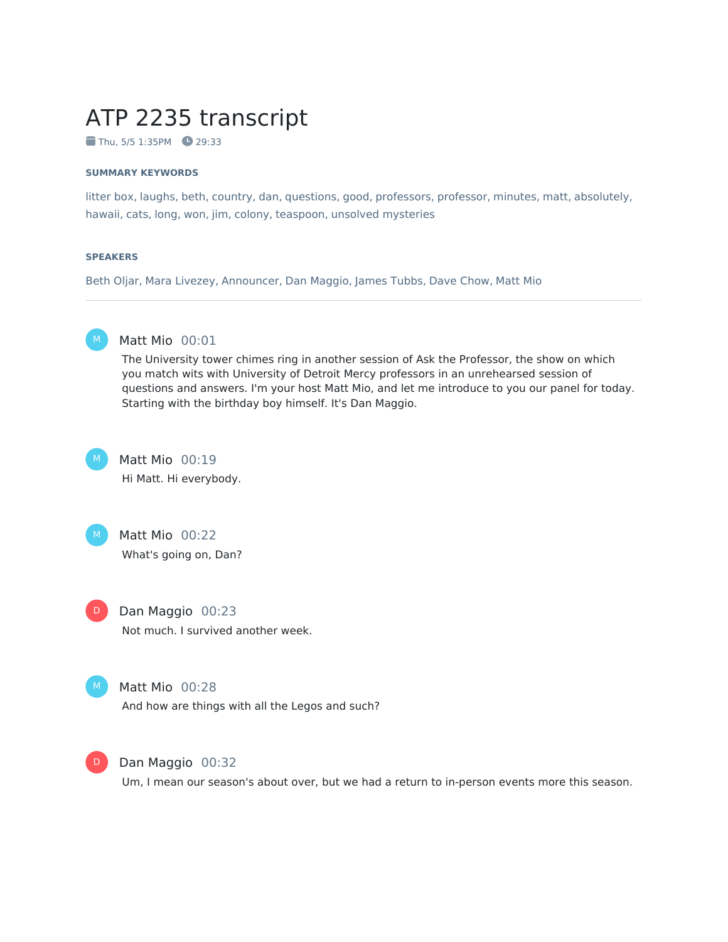# ATP 2235 transcript

 $\blacksquare$  Thu, 5/5 1:35PM  $\blacksquare$  29:33

#### **SUMMARY KEYWORDS**

litter box, laughs, beth, country, dan, questions, good, professors, professor, minutes, matt, absolutely, hawaii, cats, long, won, jim, colony, teaspoon, unsolved mysteries

#### **SPEAKERS**

Beth Oljar, Mara Livezey, Announcer, Dan Maggio, James Tubbs, Dave Chow, Matt Mio



# Matt Mio 00:01

The University tower chimes ring in another session of Ask the Professor, the show on which you match wits with University of Detroit Mercy professors in an unrehearsed session of questions and answers. I'm your host Matt Mio, and let me introduce to you our panel for today. Starting with the birthday boy himself. It's Dan Maggio.



Matt Mio 00:19 Hi Matt. Hi everybody.



Matt Mio 00:22 What's going on, Dan?

Dan Maggio 00:23 Not much. I survived another week.  $D$ 



#### Matt Mio 00:28

And how are things with all the Legos and such?



Dan Maggio 00:32

Um, I mean our season's about over, but we had a return to in-person events more this season.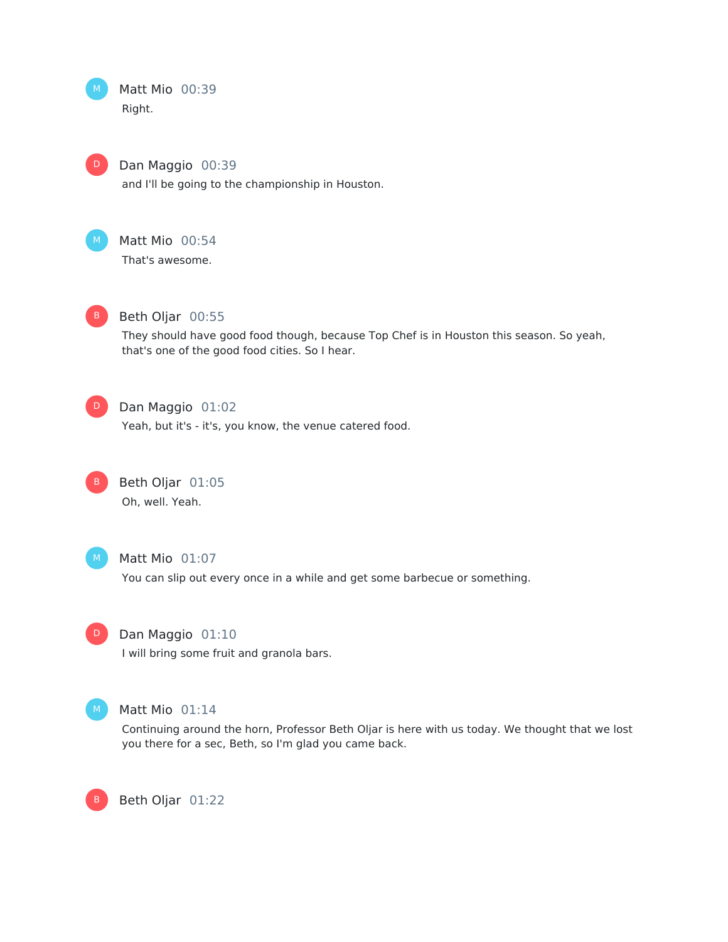Matt Mio 00:39 Right. M

> Dan Maggio 00:39 and I'll be going to the championship in Houston.



D

# Matt Mio 00:54

That's awesome.



# Beth Oljar 00:55

They should have good food though, because Top Chef is in Houston this season. So yeah, that's one of the good food cities. So I hear.



# Dan Maggio 01:02

Yeah, but it's - it's, you know, the venue catered food.



Beth Oljar 01:05 Oh, well. Yeah.



# Matt Mio 01:07

You can slip out every once in a while and get some barbecue or something.



# Dan Maggio 01:10

I will bring some fruit and granola bars.



#### Matt Mio 01:14

Continuing around the horn, Professor Beth Oljar is here with us today. We thought that we lost you there for a sec, Beth, so I'm glad you came back.

Beth Oljar 01:22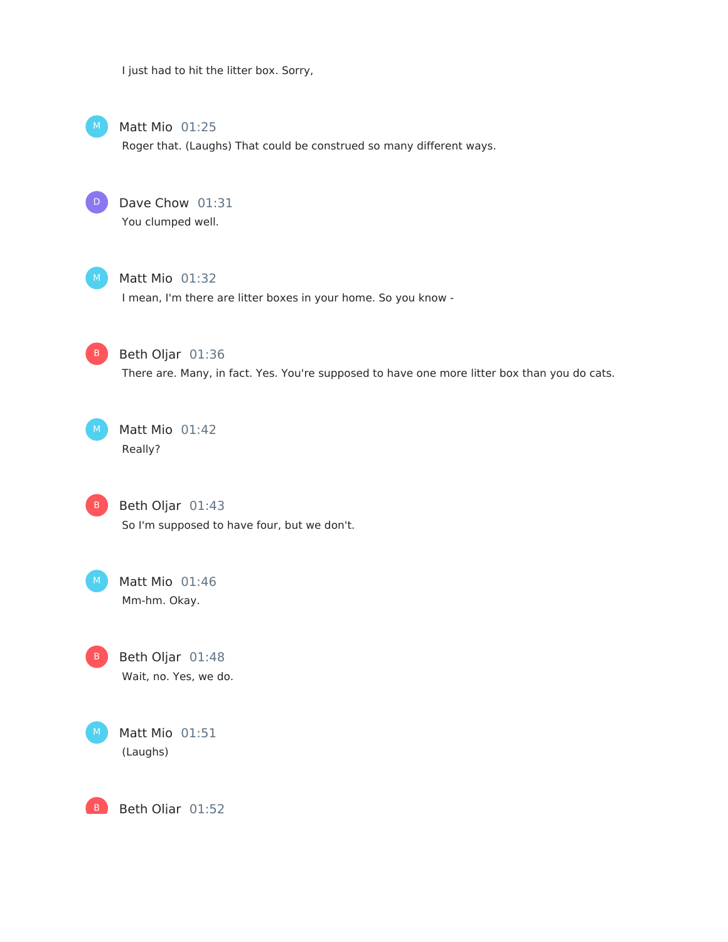I just had to hit the litter box. Sorry,



Matt Mio 01:25

Roger that. (Laughs) That could be construed so many different ways.

Dave Chow 01:31 You clumped well. D

Matt Mio 01:32

I mean, I'm there are litter boxes in your home. So you know -



Beth Oljar 01:36

There are. Many, in fact. Yes. You're supposed to have one more litter box than you do cats.

Matt Mio 01:42 Really?

> Beth Oljar 01:43 So I'm supposed to have four, but we don't.

Matt Mio 01:46 Mm-hm. Okay.

Beth Oljar 01:48 Wait, no. Yes, we do.



Beth Oliar 01:52 B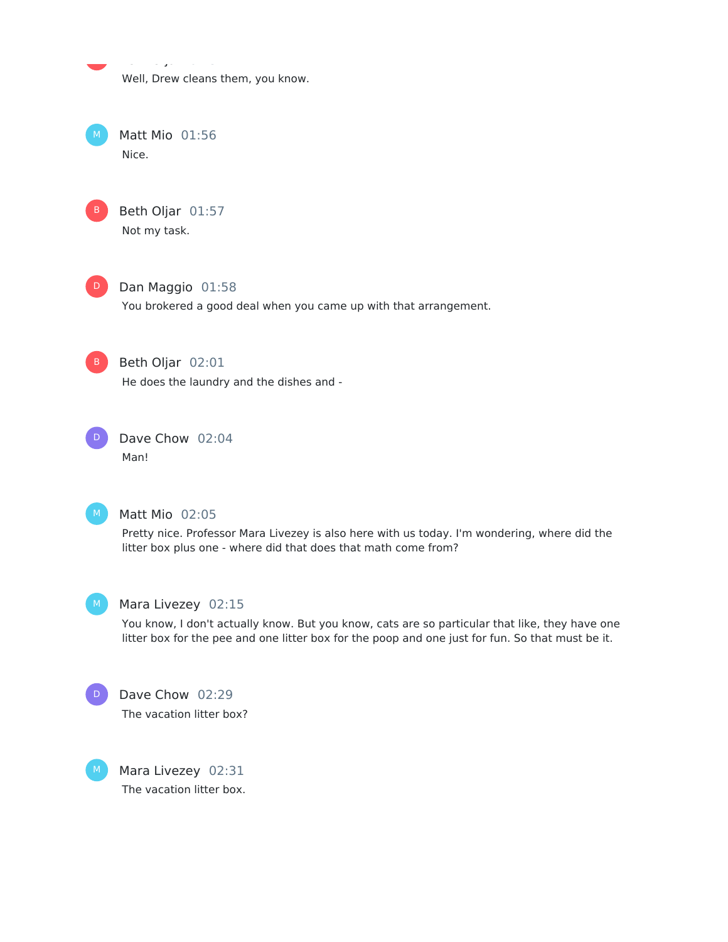$\mathcal{B}=\mathcal{B}$ Well, Drew cleans them, you know.

Matt Mio 01:56 Nice. M



### D Dan Maggio 01:58

You brokered a good deal when you came up with that arrangement.



B Beth Oljar 02:01

He does the laundry and the dishes and -

Dave Chow 02:04 Man! D



# Matt Mio 02:05

Pretty nice. Professor Mara Livezey is also here with us today. I'm wondering, where did the litter box plus one - where did that does that math come from?



# Mara Livezey 02:15

You know, I don't actually know. But you know, cats are so particular that like, they have one litter box for the pee and one litter box for the poop and one just for fun. So that must be it.



Dave Chow 02:29 The vacation litter box?

Mara Livezey 02:31 The vacation litter box.  $M$ )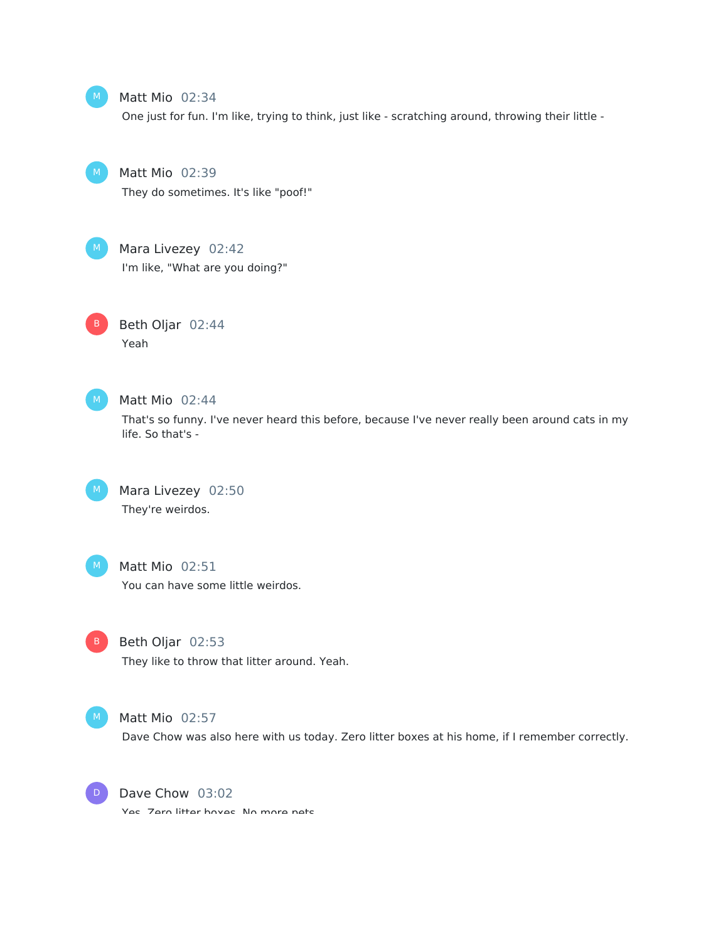

#### Matt Mio 02:34

One just for fun. I'm like, trying to think, just like - scratching around, throwing their little -

Matt Mio 02:39

They do sometimes. It's like "poof!"



# Mara Livezey 02:42

I'm like, "What are you doing?"





#### Matt Mio 02:44

That's so funny. I've never heard this before, because I've never really been around cats in my life. So that's -



# Mara Livezey 02:50 They're weirdos.



# Matt Mio 02:51

You can have some little weirdos.



#### Beth Oljar 02:53

They like to throw that litter around. Yeah.



#### Matt Mio 02:57

Dave Chow was also here with us today. Zero litter boxes at his home, if I remember correctly.



Dave Chow 03:02

Yes. Zero litter hoves. No more nets.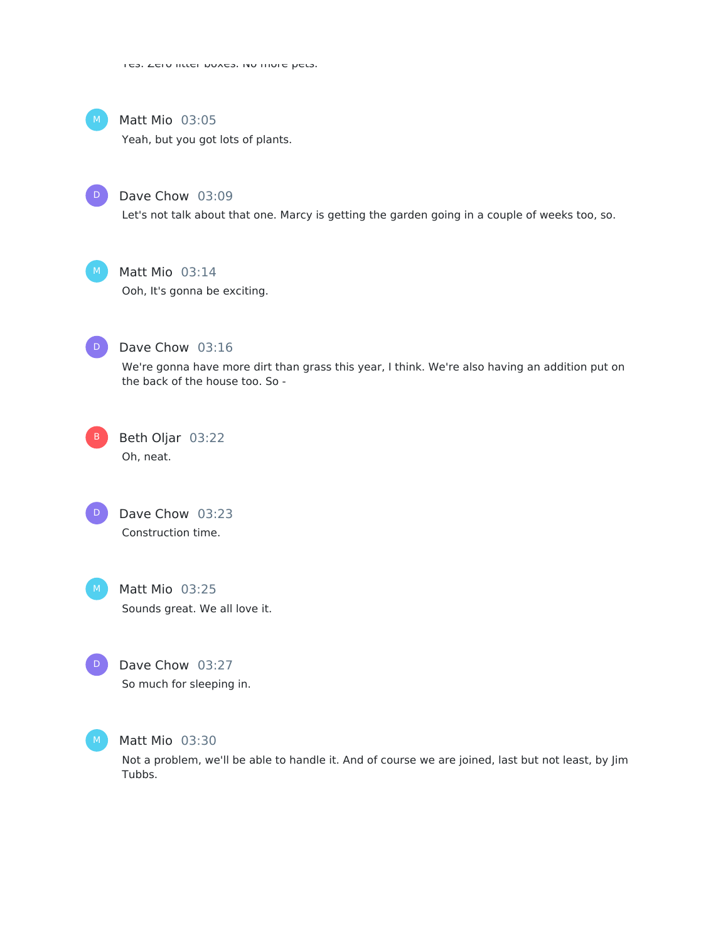

#### Matt Mio 03:05

Yeah, but you got lots of plants.



# Dave Chow 03:09

Let's not talk about that one. Marcy is getting the garden going in a couple of weeks too, so.



# Matt Mio 03:14

Ooh, It's gonna be exciting.



# Dave Chow 03:16

We're gonna have more dirt than grass this year, I think. We're also having an addition put on the back of the house too. So -

Beth Oljar 03:22 Oh, neat.  $\vert$  B  $\vert$ 

Dave Chow 03:23 Construction time. D



# Matt Mio 03:25 Sounds great. We all love it.



Dave Chow 03:27 So much for sleeping in.



#### Matt Mio 03:30

Not a problem, we'll be able to handle it. And of course we are joined, last but not least, by Jim Tubbs.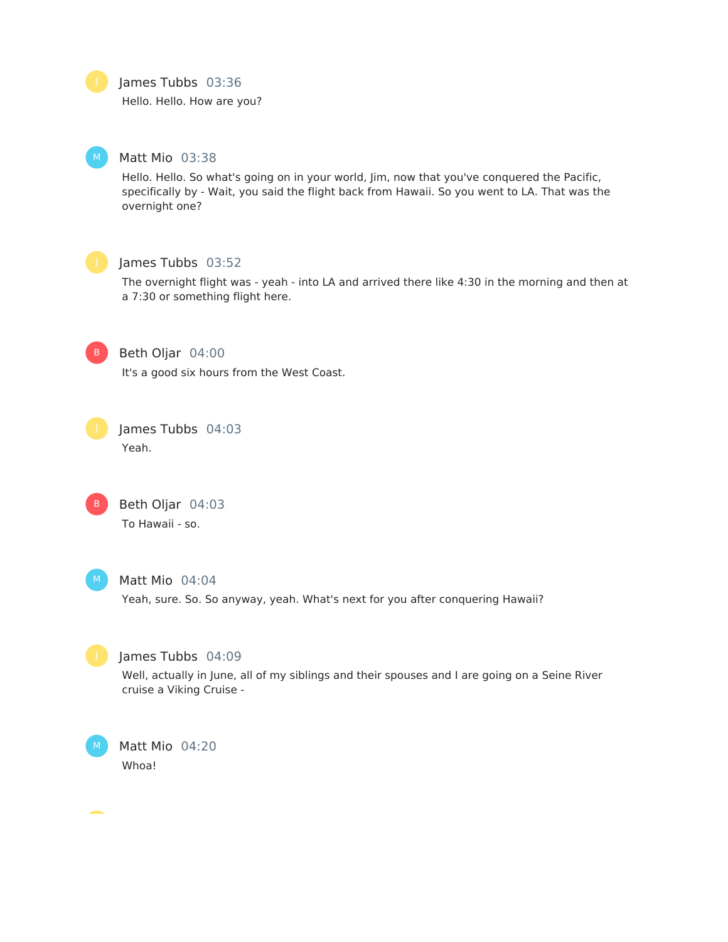#### James Tubbs 03:36

Hello. Hello. How are you?



#### Matt Mio 03:38

Hello. Hello. So what's going on in your world, Jim, now that you've conquered the Pacific, specifically by - Wait, you said the flight back from Hawaii. So you went to LA. That was the overnight one?



# James Tubbs 03:52

The overnight flight was - yeah - into LA and arrived there like 4:30 in the morning and then at a 7:30 or something flight here.



Beth Oljar 04:00

It's a good six hours from the West Coast.



James Tubbs 04:03 Yeah.





#### Matt Mio 04:04

Yeah, sure. So. So anyway, yeah. What's next for you after conquering Hawaii?



#### James Tubbs 04:09

Well, actually in June, all of my siblings and their spouses and I are going on a Seine River cruise a Viking Cruise -



Matt Mio 04:20 Whoa!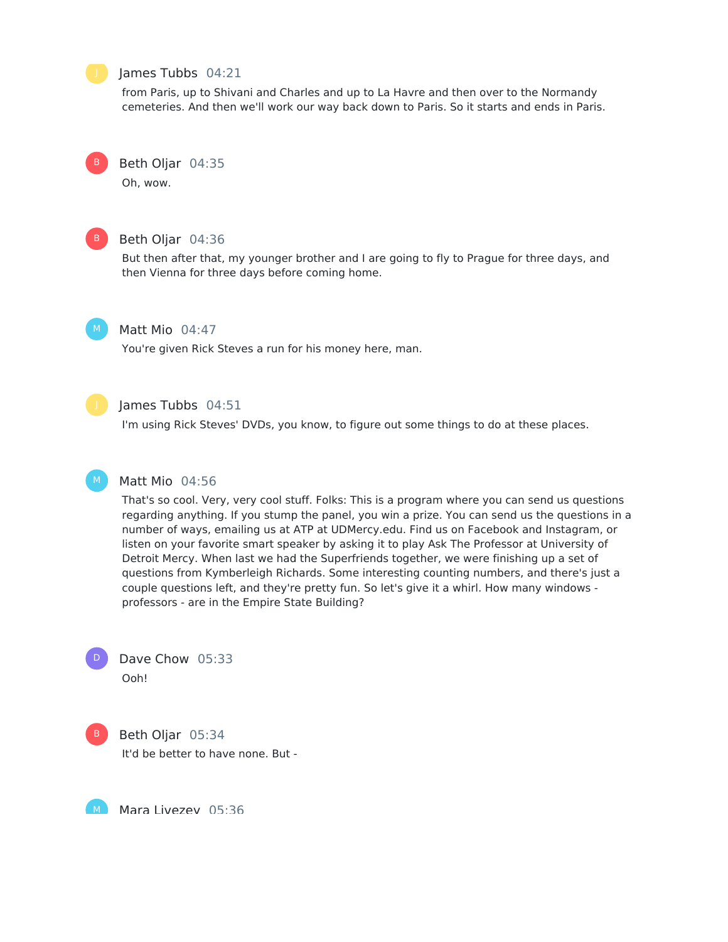#### James Tubbs 04:21

from Paris, up to Shivani and Charles and up to La Havre and then over to the Normandy cemeteries. And then we'll work our way back down to Paris. So it starts and ends in Paris.

#### Beth Oljar 04:35

Oh, wow.

# Beth Oljar 04:36

But then after that, my younger brother and I are going to fly to Prague for three days, and then Vienna for three days before coming home.



B

B

#### Matt Mio 04:47

You're given Rick Steves a run for his money here, man.



# James Tubbs 04:51

I'm using Rick Steves' DVDs, you know, to figure out some things to do at these places.

# M

#### Matt Mio 04:56

That's so cool. Very, very cool stuff. Folks: This is a program where you can send us questions regarding anything. If you stump the panel, you win a prize. You can send us the questions in a number of ways, emailing us at ATP at UDMercy.edu. Find us on Facebook and Instagram, or listen on your favorite smart speaker by asking it to play Ask The Professor at University of Detroit Mercy. When last we had the Superfriends together, we were finishing up a set of questions from Kymberleigh Richards. Some interesting counting numbers, and there's just a couple questions left, and they're pretty fun. So let's give it a whirl. How many windows professors - are in the Empire State Building?





Beth Oljar 05:34 It'd be better to have none. But -

M

Mara Livezey 05:36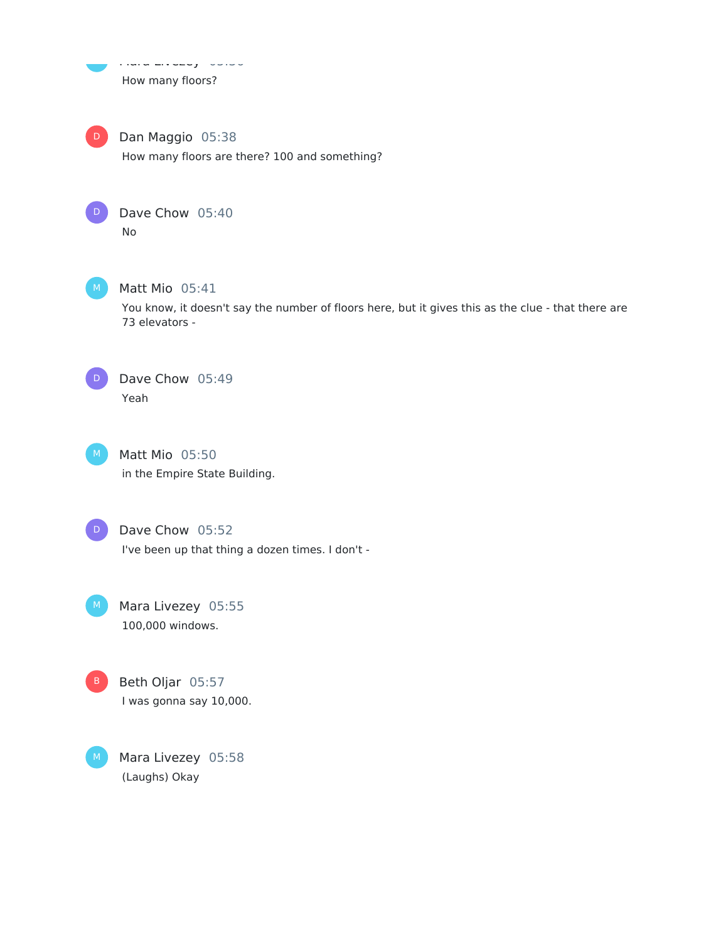Mara Livezey 05:36 How many floors? M



D Dan Maggio 05:38

How many floors are there? 100 and something?



Dave Chow 05:40 No



Matt Mio 05:41

You know, it doesn't say the number of floors here, but it gives this as the clue - that there are 73 elevators -



Dave Chow 05:49 Yeah





Dave Chow 05:52 I've been up that thing a dozen times. I don't -

Mara Livezey 05:55 100,000 windows.



Mara Livezey 05:58 (Laughs) Okay M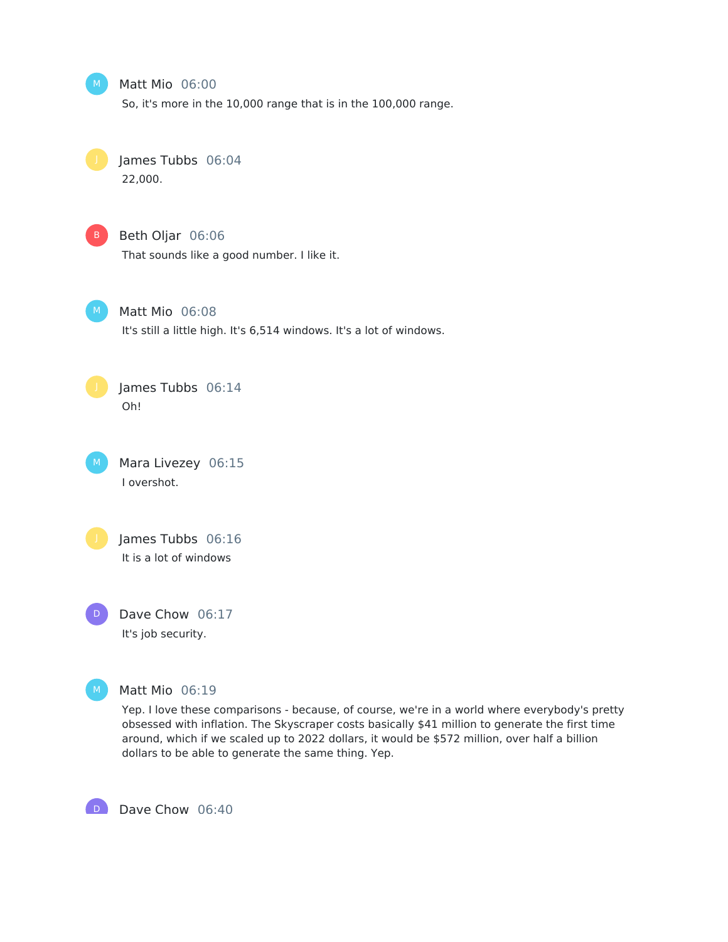

#### Matt Mio 06:00

So, it's more in the 10,000 range that is in the 100,000 range.



James Tubbs 06:04



# Beth Oljar 06:06

That sounds like a good number. I like it.



# Matt Mio 06:08

It's still a little high. It's 6,514 windows. It's a lot of windows.



James Tubbs 06:14 Oh!

Mara Livezey 06:15 I overshot.  $\mid$  M  $\mid$ 



# James Tubbs 06:16 It is a lot of windows

Dave Chow 06:17 It's job security.  $\mathsf D$ 



# Matt Mio 06:19

Yep. I love these comparisons - because, of course, we're in a world where everybody's pretty obsessed with inflation. The Skyscraper costs basically \$41 million to generate the first time around, which if we scaled up to 2022 dollars, it would be \$572 million, over half a billion dollars to be able to generate the same thing. Yep.

D Dave Chow 06:40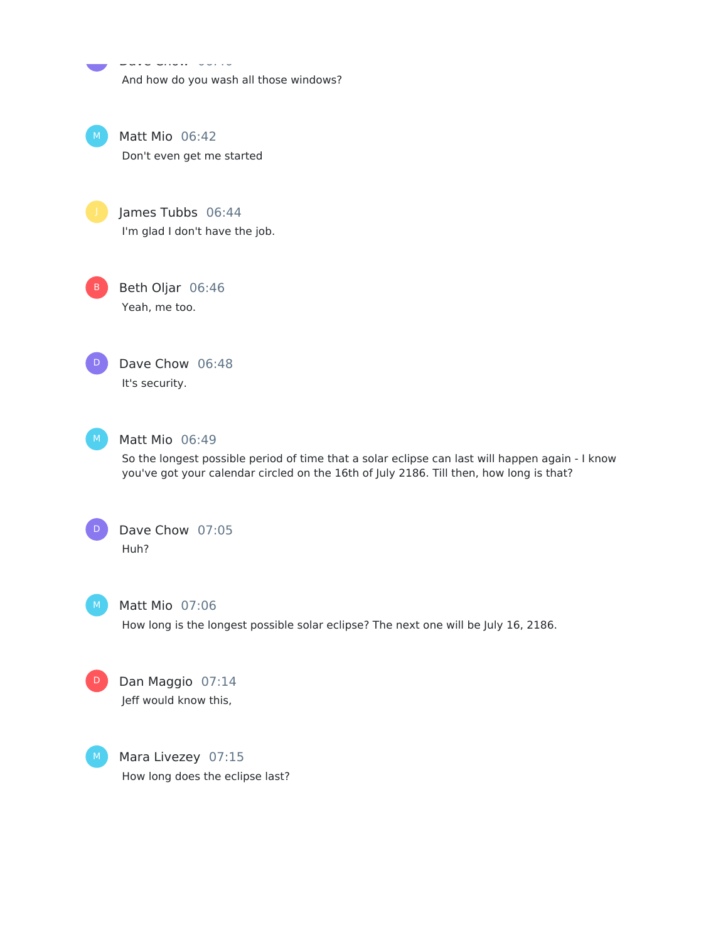And how do you wash all those windows?

Matt Mio 06:42 Don't even get me started

Dave Chow 06:40

James Tubbs 06:44 I'm glad I don't have the job.

Beth Oljar 06:46 Yeah, me too.



D

Dave Chow 06:48 It's security.



# Matt Mio 06:49

So the longest possible period of time that a solar eclipse can last will happen again - I know you've got your calendar circled on the 16th of July 2186. Till then, how long is that?



Dave Chow 07:05 Huh?



#### Matt Mio 07:06

How long is the longest possible solar eclipse? The next one will be July 16, 2186.



# Dan Maggio 07:14 Jeff would know this,

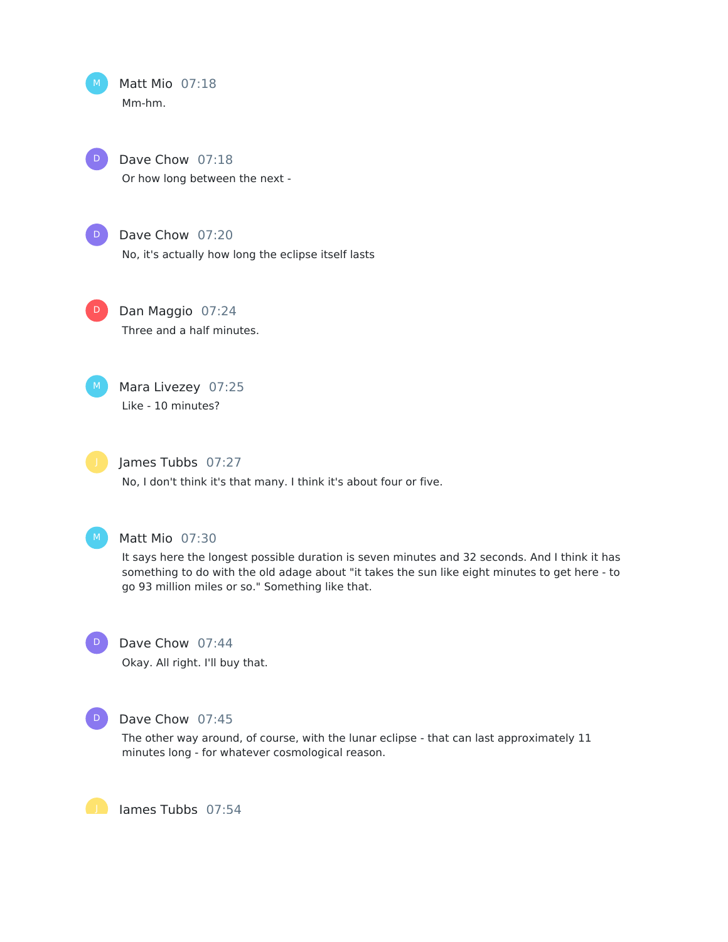Matt Mio 07:18 Mm-hm.



Dave Chow 07:18

Or how long between the next -



# Dave Chow 07:20

No, it's actually how long the eclipse itself lasts



D Dan Maggio 07:24 Three and a half minutes.



M Mara Livezey 07:25 Like - 10 minutes?



James Tubbs 07:27

No, I don't think it's that many. I think it's about four or five.



# Matt Mio 07:30

It says here the longest possible duration is seven minutes and 32 seconds. And I think it has something to do with the old adage about "it takes the sun like eight minutes to get here - to go 93 million miles or so." Something like that.



Okay. All right. I'll buy that.



D

# Dave Chow 07:45

The other way around, of course, with the lunar eclipse - that can last approximately 11 minutes long - for whatever cosmological reason.

**Julie 1 Iames Tubbs** 07:54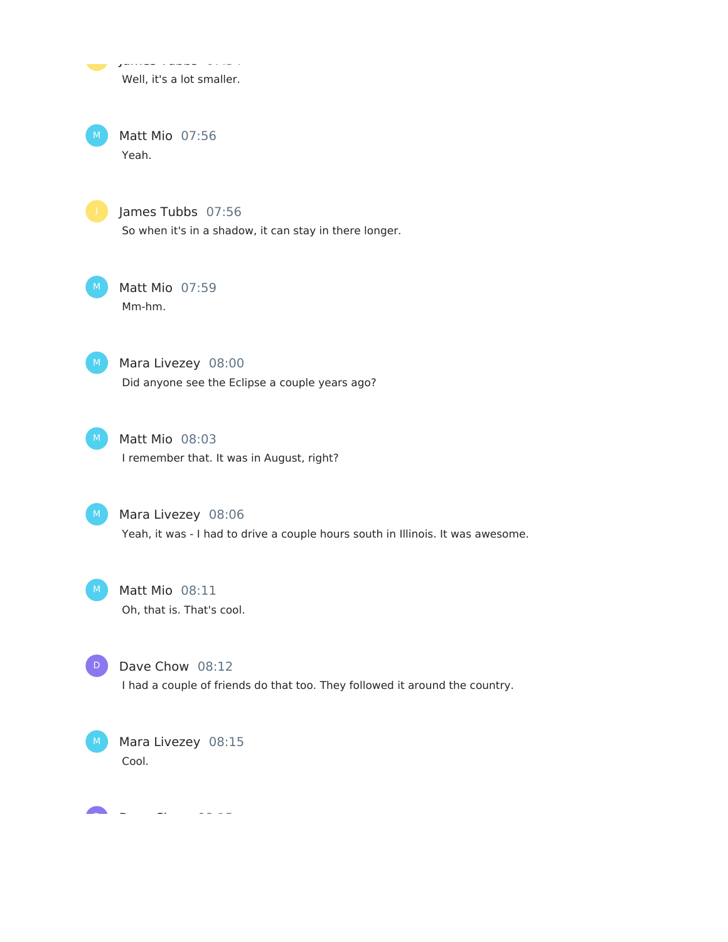j james Tubbs operations of Well, it's a lot smaller. Matt Mio 07:56 Yeah. James Tubbs 07:56 So when it's in a shadow, it can stay in there longer. Matt Mio 07:59 Mm-hm. M Mara Livezey 08:00 Did anyone see the Eclipse a couple years ago?  $M$  Matt Mio 08:03 I remember that. It was in August, right? M Mara Livezey 08:06 Yeah, it was - I had to drive a couple hours south in Illinois. It was awesome. M Matt Mio 08:11 Oh, that is. That's cool. Dave Chow 08:12 I had a couple of friends do that too. They followed it around the country. Mara Livezey 08:15 Cool.  $\Box$ 

Dave Chow 08:15

**D**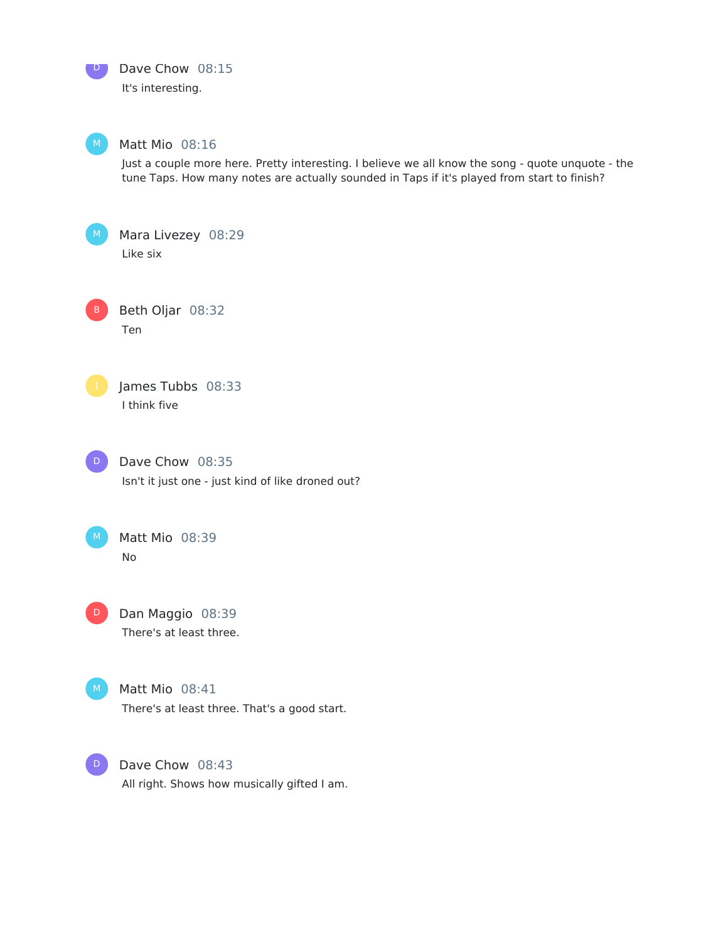

 $M$ 

# Matt Mio 08:16

Just a couple more here. Pretty interesting. I believe we all know the song - quote unquote - the tune Taps. How many notes are actually sounded in Taps if it's played from start to finish?

 $M$ )

Mara Livezey 08:29 Like six

Beth Oljar 08:32 Ten  $\vert$  B

James Tubbs 08:33 I think five

 $D$ 

Dave Chow 08:35 Isn't it just one - just kind of like droned out?



Matt Mio 08:39 No

Dan Maggio 08:39 There's at least three.  $D$ 



Matt Mio 08:41 There's at least three. That's a good start.

Dave Chow 08:43 All right. Shows how musically gifted I am.  $D$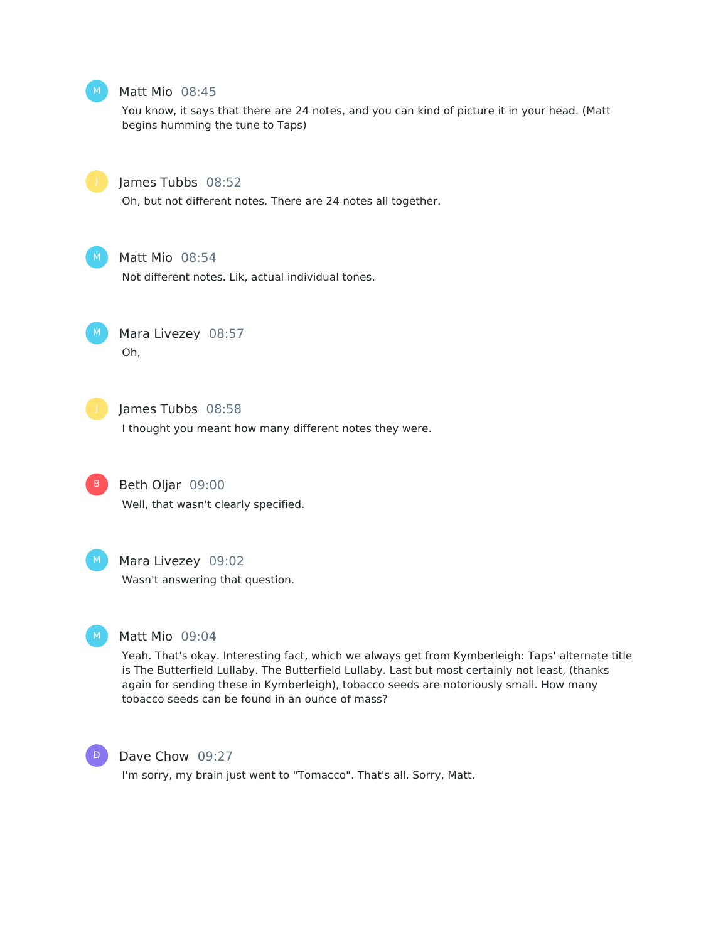

#### Matt Mio 08:45

You know, it says that there are 24 notes, and you can kind of picture it in your head. (Matt begins humming the tune to Taps)



#### James Tubbs 08:52

Oh, but not different notes. There are 24 notes all together.



#### Matt Mio 08:54

Not different notes. Lik, actual individual tones.



Mara Livezey 08:57 Oh,



#### James Tubbs 08:58

I thought you meant how many different notes they were.



B Beth Oljar 09:00 Well, that wasn't clearly specified.

M Mara Livezey 09:02 Wasn't answering that question.



#### Matt Mio 09:04

Yeah. That's okay. Interesting fact, which we always get from Kymberleigh: Taps' alternate title is The Butterfield Lullaby. The Butterfield Lullaby. Last but most certainly not least, (thanks again for sending these in Kymberleigh), tobacco seeds are notoriously small. How many tobacco seeds can be found in an ounce of mass?



#### Dave Chow 09:27

I'm sorry, my brain just went to "Tomacco". That's all. Sorry, Matt.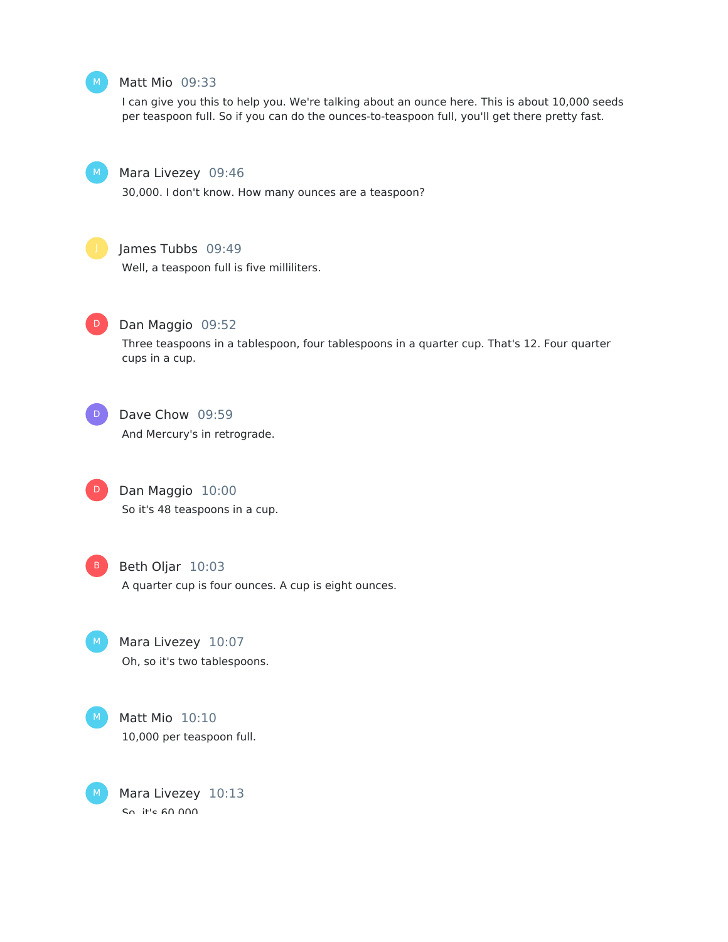#### Matt Mio 09:33

I can give you this to help you. We're talking about an ounce here. This is about 10,000 seeds per teaspoon full. So if you can do the ounces-to-teaspoon full, you'll get there pretty fast.



# Mara Livezey 09:46

30,000. I don't know. How many ounces are a teaspoon?

# James Tubbs 09:49

Well, a teaspoon full is five milliliters.



### Dan Maggio 09:52

Three teaspoons in a tablespoon, four tablespoons in a quarter cup. That's 12. Four quarter cups in a cup.



D

# Dave Chow 09:59

And Mercury's in retrograde.

Dan Maggio 10:00 So it's 48 teaspoons in a cup.



#### Beth Oljar 10:03

A quarter cup is four ounces. A cup is eight ounces.

Mara Livezey 10:07 Oh, so it's two tablespoons. M



# Matt Mio 10:10 10,000 per teaspoon full.

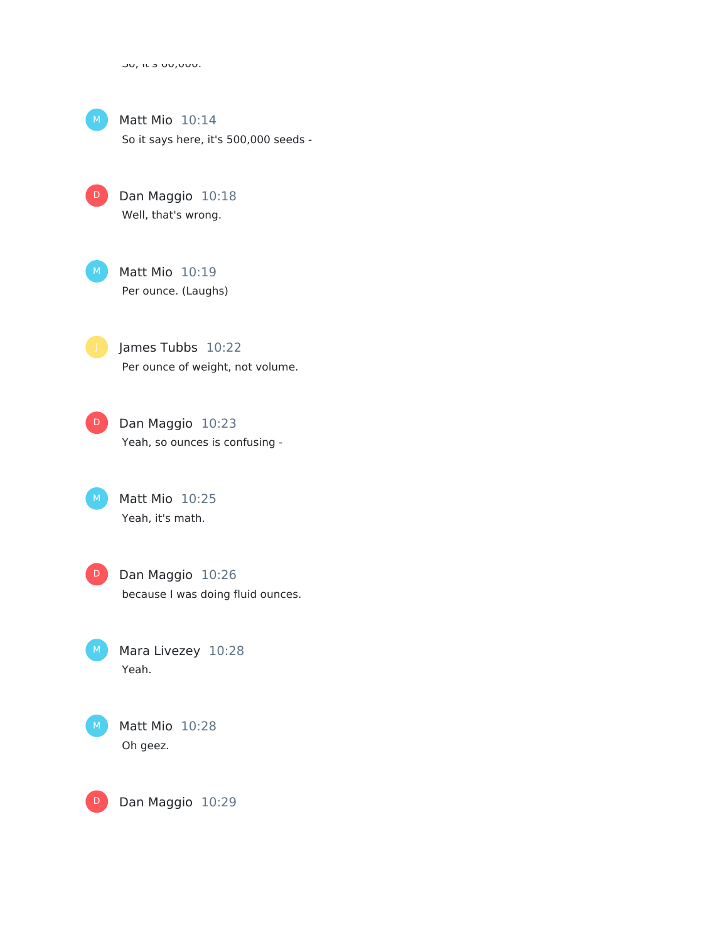$30, it 30,000.$ 

Matt Mio 10:14 So it says here, it's 500,000 seeds -

Dan Maggio 10:18 Well, that's wrong.

 $D$ 

Matt Mio 10:19 Per ounce. (Laughs)

James Tubbs 10:22 Per ounce of weight, not volume.

 $\mathbf{D}$ 

Dan Maggio 10:23 Yeah, so ounces is confusing -

Matt Mio 10:25 Yeah, it's math.

D

D

Dan Maggio 10:26 because I was doing fluid ounces.

Mara Livezey 10:28 Yeah.

Matt Mio 10:28 Oh geez.

Dan Maggio 10:29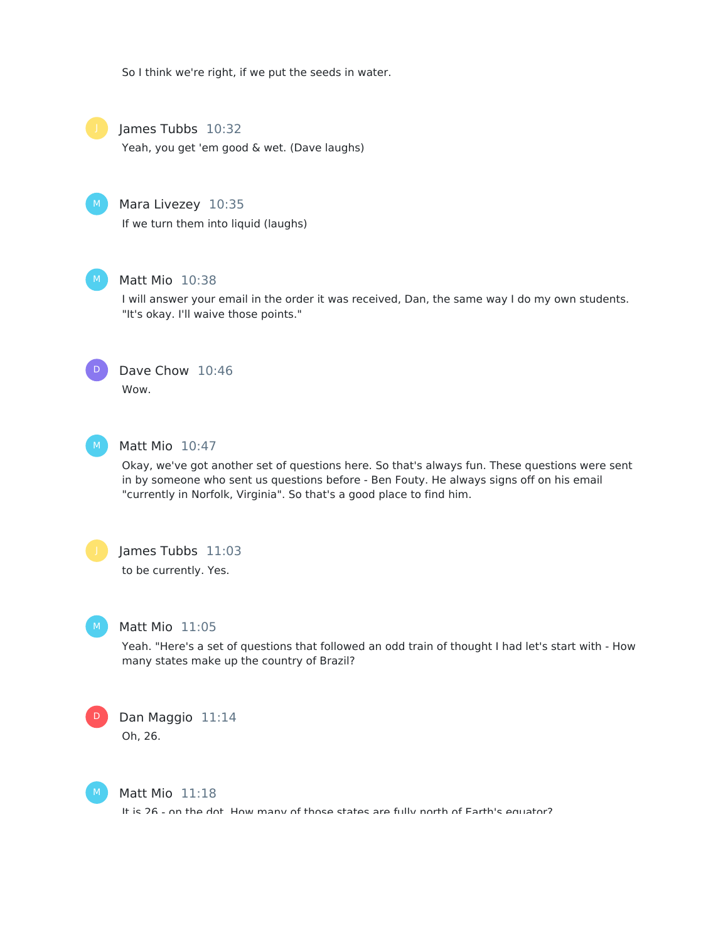So I think we're right, if we put the seeds in water.



#### James Tubbs 10:32

Yeah, you get 'em good & wet. (Dave laughs)

### Mara Livezey 10:35

If we turn them into liquid (laughs)



#### Matt Mio 10:38

I will answer your email in the order it was received, Dan, the same way I do my own students. "It's okay. I'll waive those points."



# Dave Chow 10:46 Wow.



#### Matt Mio 10:47

Okay, we've got another set of questions here. So that's always fun. These questions were sent in by someone who sent us questions before - Ben Fouty. He always signs off on his email "currently in Norfolk, Virginia". So that's a good place to find him.



# James Tubbs 11:03

to be currently. Yes.



#### Matt Mio 11:05

Yeah. "Here's a set of questions that followed an odd train of thought I had let's start with - How many states make up the country of Brazil?



# Dan Maggio 11:14

Oh, 26.



#### Matt Mio 11:18

It is 26 - on the dot. How many of those states are fully north of Earth's equator?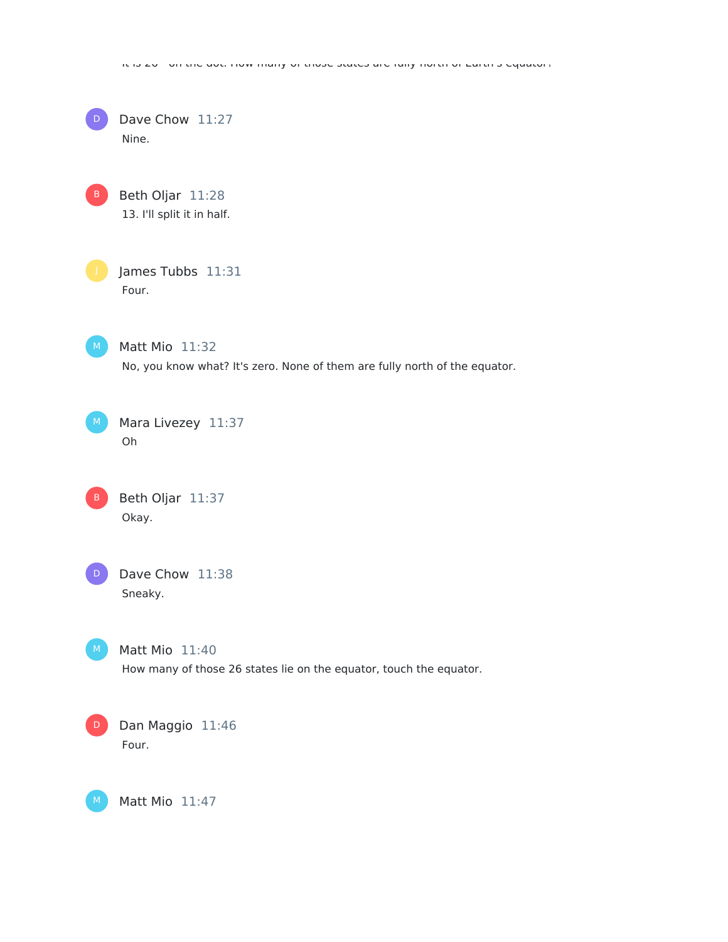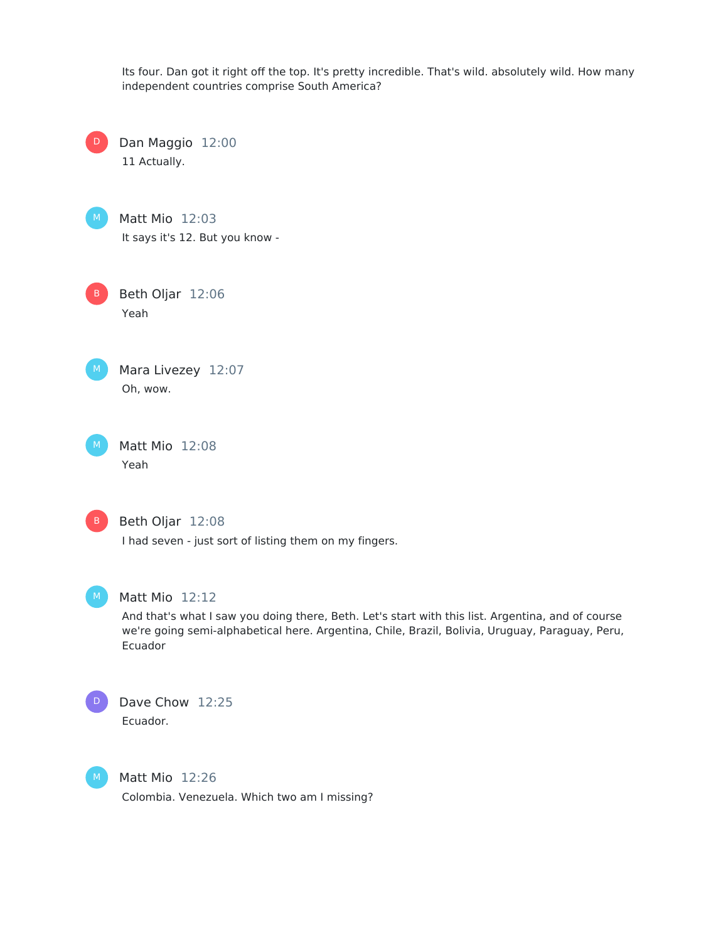Its four. Dan got it right off the top. It's pretty incredible. That's wild. absolutely wild. How many independent countries comprise South America? Dan Maggio 12:00 11 Actually. Matt Mio 12:03 It says it's 12. But you know - Beth Oljar 12:06 Yeah Mara Livezey 12:07 Oh, wow. Matt Mio 12:08 Yeah Beth Oljar 12:08 I had seven - just sort of listing them on my fingers. Matt Mio 12:12 And that's what I saw you doing there, Beth. Let's start with this list. Argentina, and of course we're going semi-alphabetical here. Argentina, Chile, Brazil, Bolivia, Uruguay, Paraguay, Peru, Ecuador Dave Chow 12:25 Ecuador.  $\vert$ D $\vert$ B  $\vert$  M  $\rangle$ M D

Matt Mio 12:26 Colombia. Venezuela. Which two am I missing?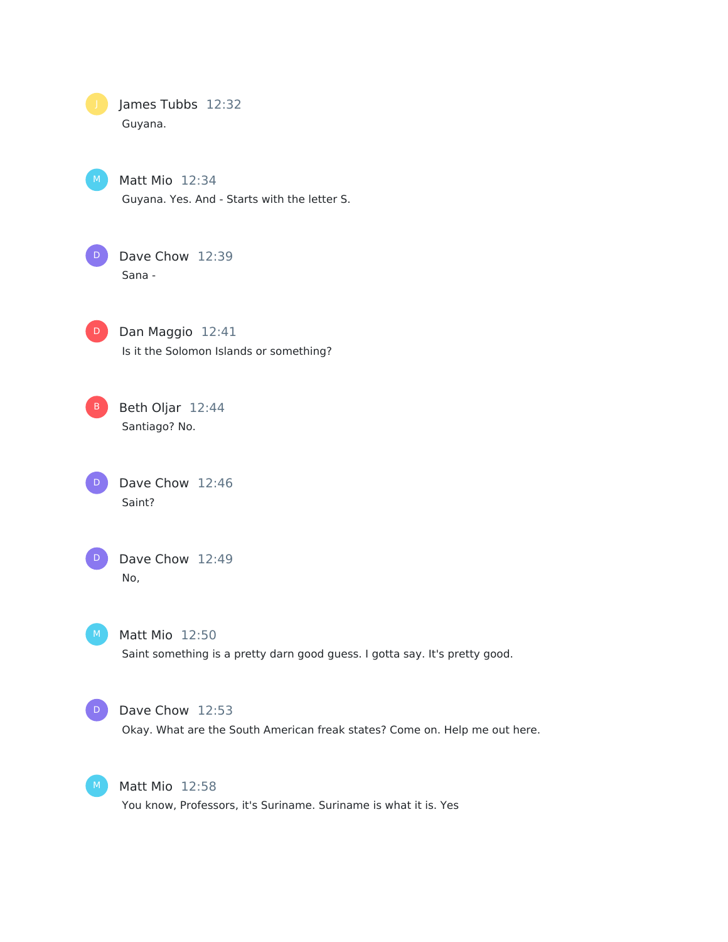James Tubbs 12:32 Guyana. Matt Mio 12:34 Guyana. Yes. And - Starts with the letter S. Dave Chow 12:39 Sana - Dan Maggio 12:41 Is it the Solomon Islands or something? Beth Oljar 12:44 Santiago? No. Dave Chow 12:46 Saint? Dave Chow 12:49 No, Matt Mio 12:50 Saint something is a pretty darn good guess. I gotta say. It's pretty good. Dave Chow 12:53 Okay. What are the South American freak states? Come on. Help me out here. Matt Mio 12:58 D D  $\vert$  B D D  $M$  $D$  $M$ 

You know, Professors, it's Suriname. Suriname is what it is. Yes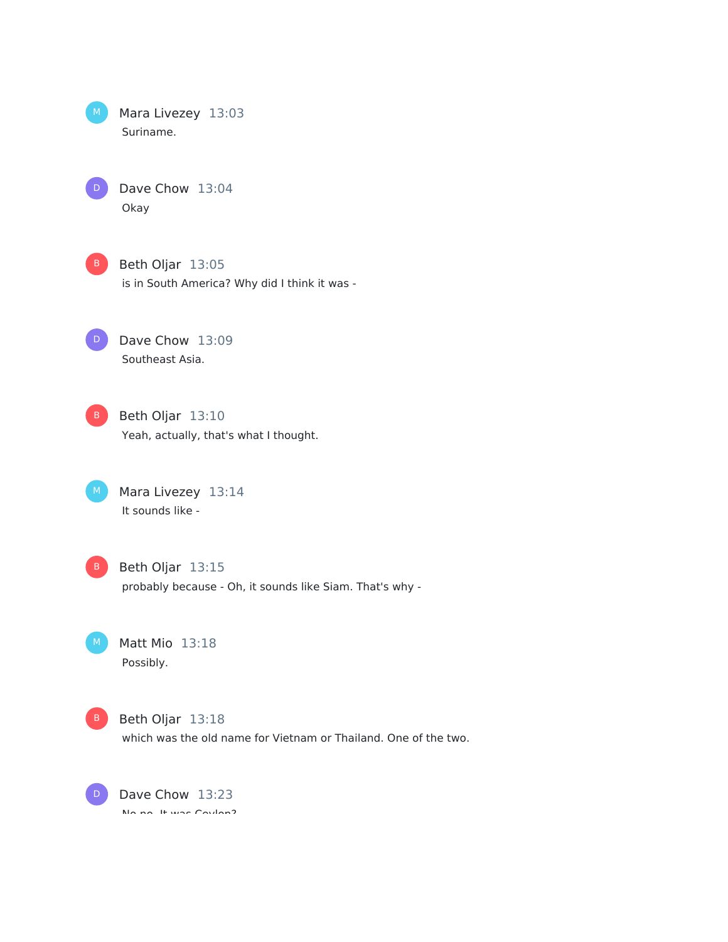Mara Livezey 13:03 Suriname. Dave Chow 13:04 Okay B Beth Oljar 13:05 is in South America? Why did I think it was - Dave Chow 13:09 Southeast Asia. B Beth Oljar 13:10 Yeah, actually, that's what I thought. Mara Livezey 13:14 It sounds like - B Beth Oljar 13:15 probably because - Oh, it sounds like Siam. That's why - Matt Mio 13:18 Possibly. B Beth Oljar 13:18 which was the old name for Vietnam or Thailand. One of the two. D Dave Chow 13:23 M)  $D$  $\Box$ 

No,no. It was Ceylon?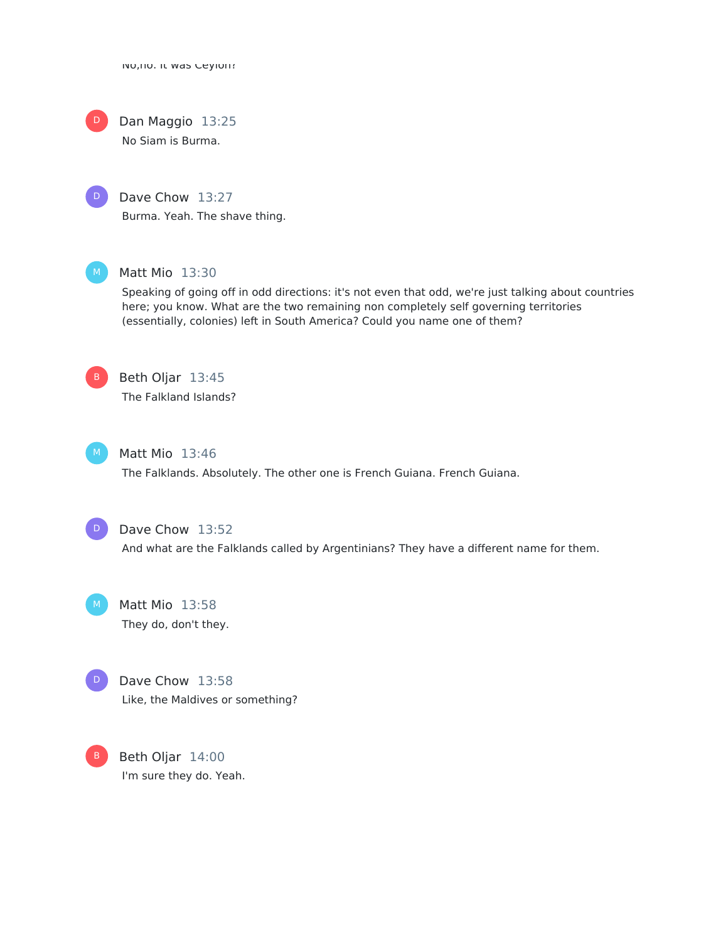No,no. It was Ceylon?

Dan Maggio 13:25 No Siam is Burma. D



Dave Chow 13:27 Burma. Yeah. The shave thing.



# Matt Mio 13:30

Speaking of going off in odd directions: it's not even that odd, we're just talking about countries here; you know. What are the two remaining non completely self governing territories (essentially, colonies) left in South America? Could you name one of them?



Beth Oljar 13:45 The Falkland Islands?



### Matt Mio 13:46

The Falklands. Absolutely. The other one is French Guiana. French Guiana.



Dave Chow 13:52 And what are the Falklands called by Argentinians? They have a different name for them.

Matt Mio 13:58 They do, don't they. M





Beth Oljar 14:00 I'm sure they do. Yeah.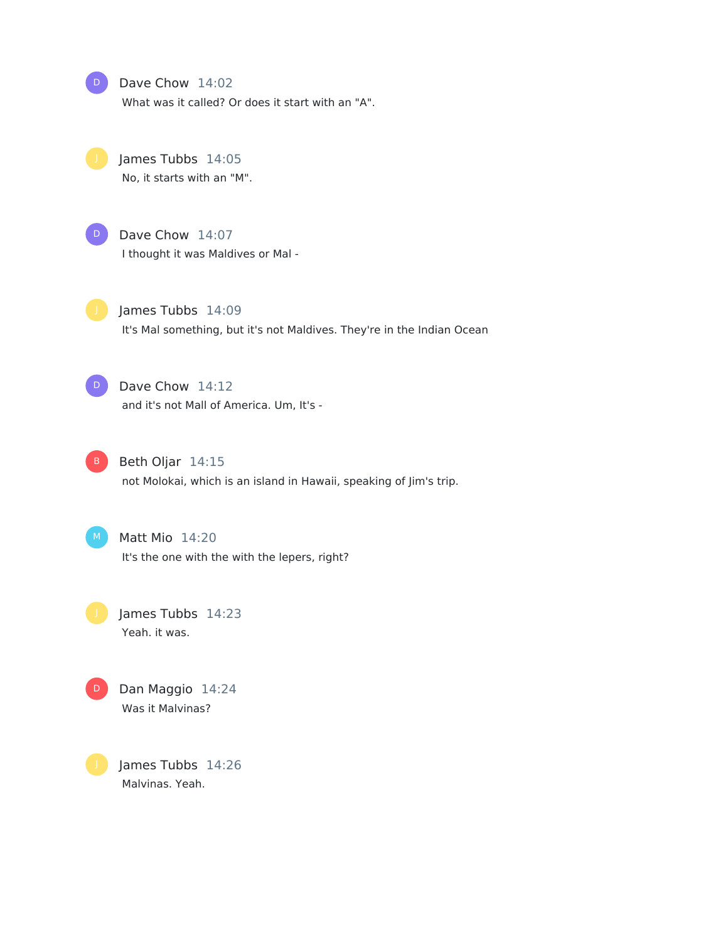Dave Chow 14:02 What was it called? Or does it start with an "A". James Tubbs 14:05 No, it starts with an "M".  $D$ 

Dave Chow 14:07 I thought it was Maldives or Mal -  $D$ 

James Tubbs 14:09 It's Mal something, but it's not Maldives. They're in the Indian Ocean

 $D$ 

Dave Chow 14:12 and it's not Mall of America. Um, It's -

B Beth Oljar 14:15 not Molokai, which is an island in Hawaii, speaking of Jim's trip.

 $M$ 

Matt Mio 14:20 It's the one with the with the lepers, right?

James Tubbs 14:23 Yeah. it was.



D Dan Maggio 14:24 Was it Malvinas?

> James Tubbs 14:26 Malvinas. Yeah.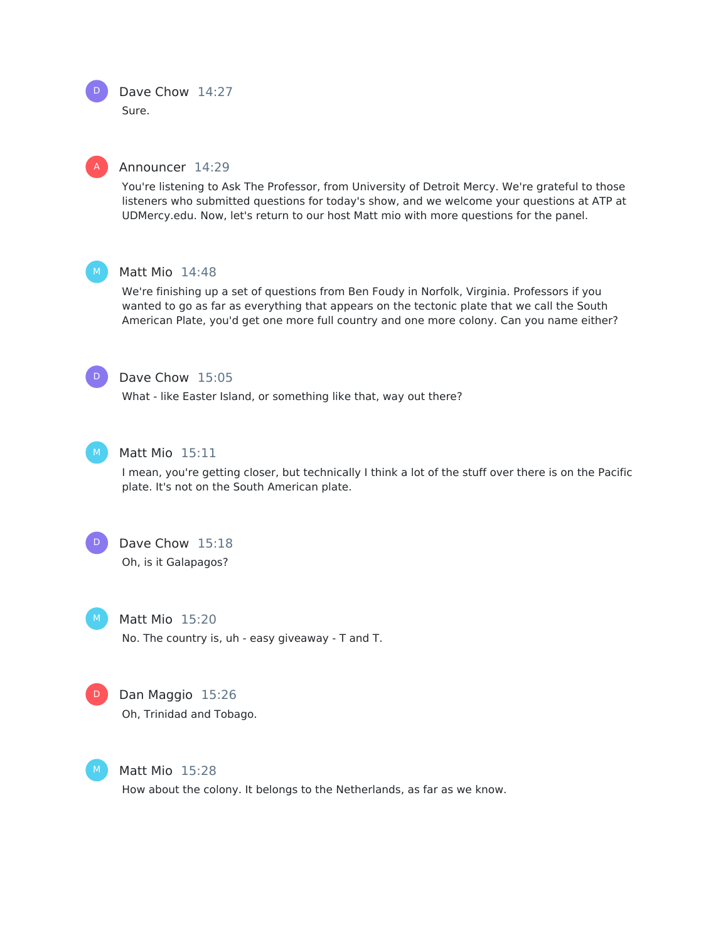



D

#### Announcer 14:29

You're listening to Ask The Professor, from University of Detroit Mercy. We're grateful to those listeners who submitted questions for today's show, and we welcome your questions at ATP at UDMercy.edu. Now, let's return to our host Matt mio with more questions for the panel.



#### Matt Mio 14:48

We're finishing up a set of questions from Ben Foudy in Norfolk, Virginia. Professors if you wanted to go as far as everything that appears on the tectonic plate that we call the South American Plate, you'd get one more full country and one more colony. Can you name either?



#### Dave Chow 15:05

What - like Easter Island, or something like that, way out there?



#### Matt Mio 15:11

I mean, you're getting closer, but technically I think a lot of the stuff over there is on the Pacific plate. It's not on the South American plate.



# Dave Chow 15:18 Oh, is it Galapagos?

Matt Mio 15:20 No. The country is, uh - easy giveaway - T and T.



#### Dan Maggio 15:26

Oh, Trinidad and Tobago.



Matt Mio 15:28

How about the colony. It belongs to the Netherlands, as far as we know.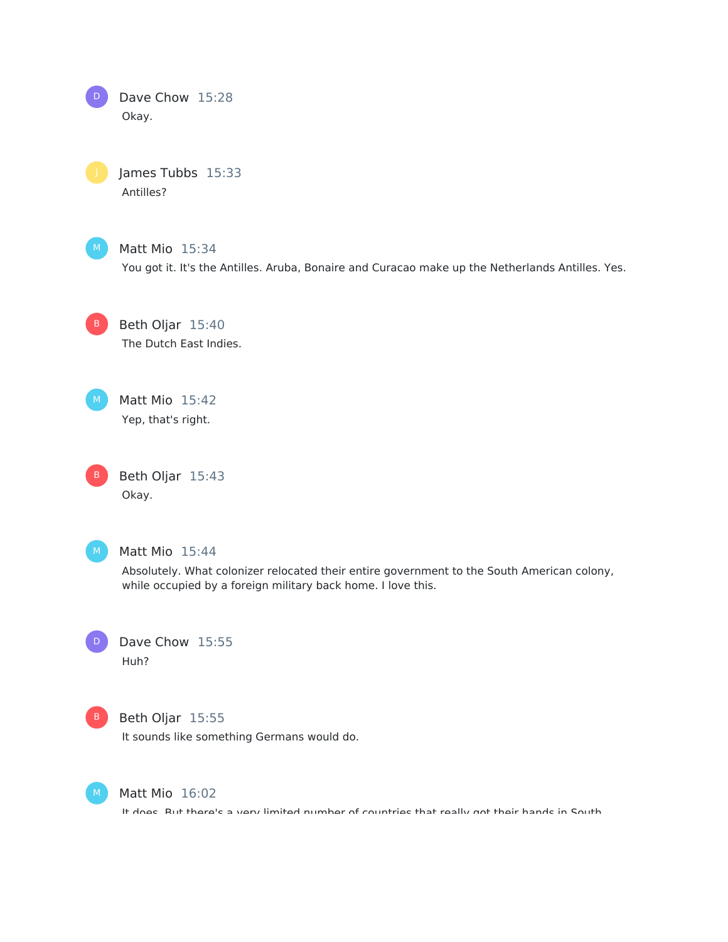| <b>D</b> | Dave Chow 15:28 |  |
|----------|-----------------|--|
|          | Okay.           |  |

James Tubbs 15:33 Antilles?



Matt Mio 15:34

You got it. It's the Antilles. Aruba, Bonaire and Curacao make up the Netherlands Antilles. Yes.

Beth Oljar 15:40 The Dutch East Indies. B

Matt Mio 15:42 Yep, that's right.

Beth Oljar 15:43 Okay.



B

#### Matt Mio 15:44

Absolutely. What colonizer relocated their entire government to the South American colony, while occupied by a foreign military back home. I love this.

Dave Chow 15:55 Huh?



D

#### Beth Oljar 15:55

It sounds like something Germans would do.



#### Matt Mio 16:02

It does. But there's a very limited number of countries that really got their hands in South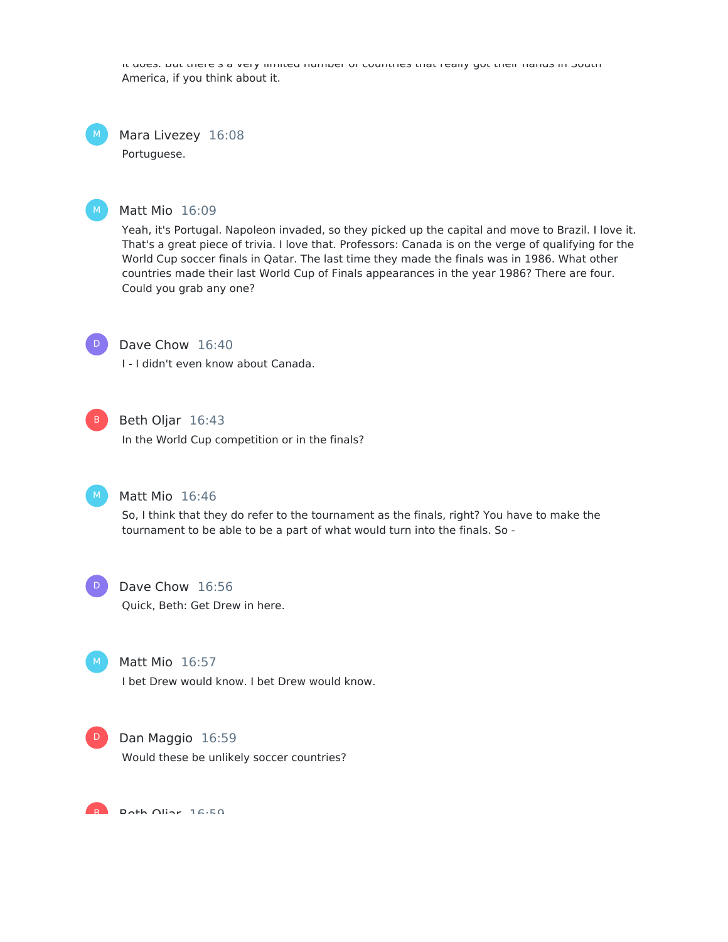It does. But there's a very limited number of countries that really got their hands in South America, if you think about it.

Mara Livezey 16:08 Portuguese. M

#### Matt Mio 16:09

Yeah, it's Portugal. Napoleon invaded, so they picked up the capital and move to Brazil. I love it. That's a great piece of trivia. I love that. Professors: Canada is on the verge of qualifying for the World Cup soccer finals in Qatar. The last time they made the finals was in 1986. What other countries made their last World Cup of Finals appearances in the year 1986? There are four. Could you grab any one?



# Dave Chow 16:40

I - I didn't even know about Canada.



#### Beth Oljar 16:43

In the World Cup competition or in the finals?



#### Matt Mio 16:46

So, I think that they do refer to the tournament as the finals, right? You have to make the tournament to be able to be a part of what would turn into the finals. So -



#### Dave Chow 16:56

Quick, Beth: Get Drew in here.



#### Matt Mio 16:57

I bet Drew would know. I bet Drew would know.



# Dan Maggio 16:59 Would these be unlikely soccer countries?

Beth Oliar 16:50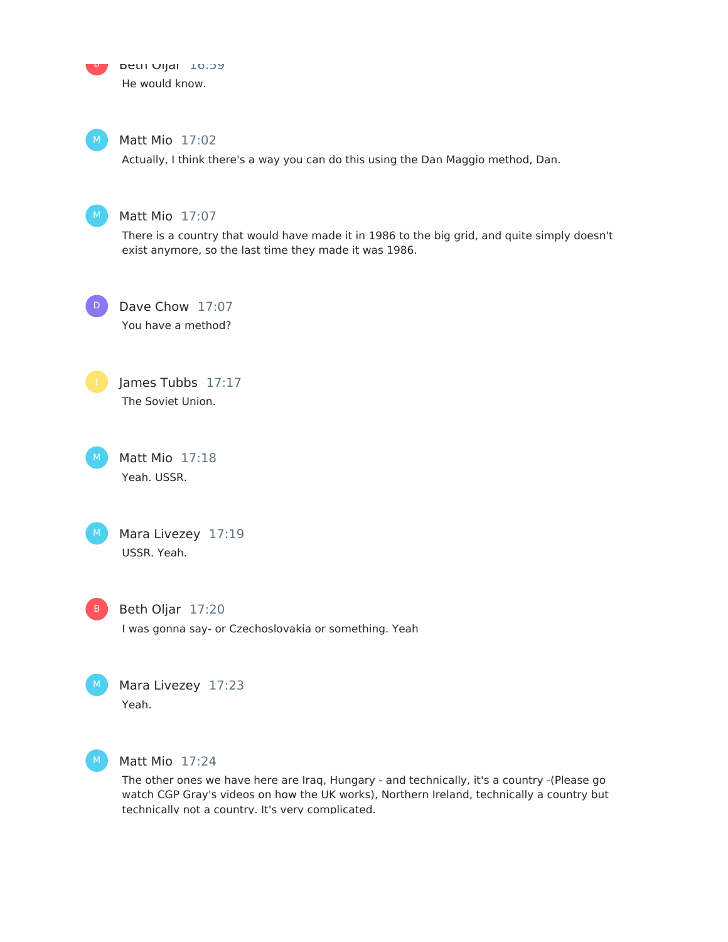

#### Matt Mio 17:02  $M_{\odot}$

Actually, I think there's a way you can do this using the Dan Maggio method, Dan.



#### Matt Mio 17:07

There is a country that would have made it in 1986 to the big grid, and quite simply doesn't exist anymore, so the last time they made it was 1986.

D

Dave Chow 17:07 You have a method?



James Tubbs 17:17 The Soviet Union.

Matt Mio 17:18 Yeah. USSR.  $M$ 



Mara Livezey 17:19 USSR. Yeah.

Beth Oljar 17:20 I was gonna say- or Czechoslovakia or something. Yeah





#### Matt Mio 17:24

The other ones we have here are Iraq, Hungary - and technically, it's a country -(Please go watch CGP Gray's videos on how the UK works), Northern Ireland, technically a country but technically not a country. It's very complicated.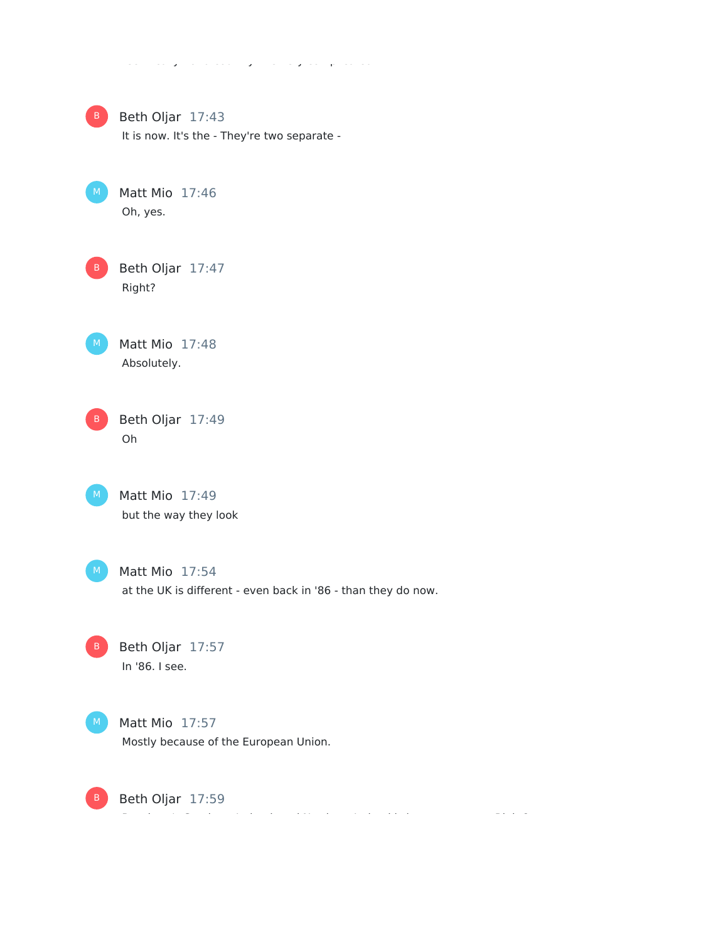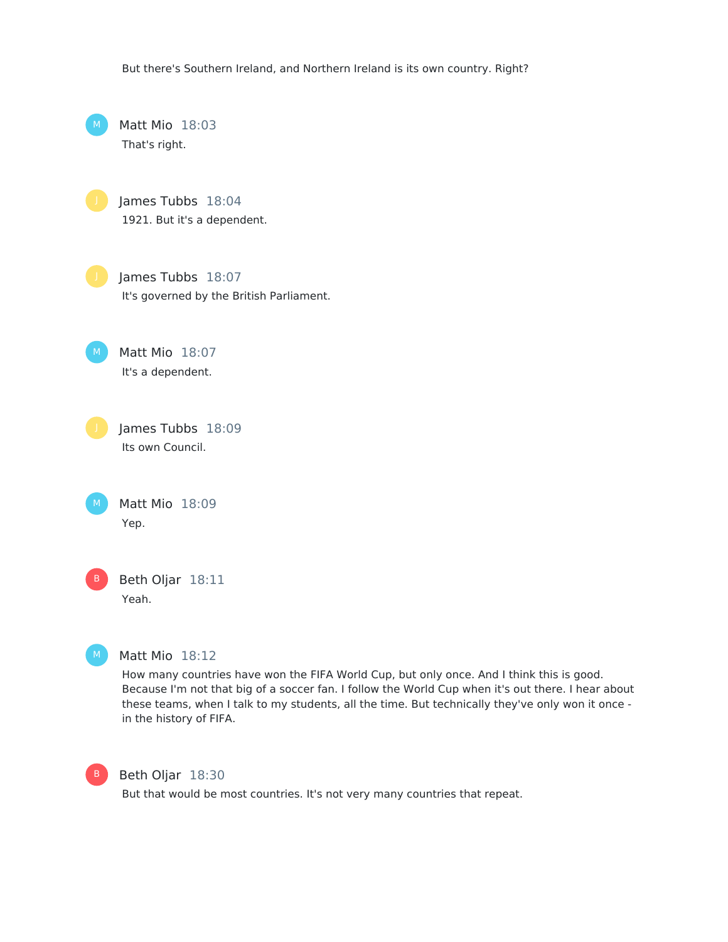But there's Southern Ireland, and Northern Ireland is its own country. Right?

Matt Mio 18:03 That's right.

> James Tubbs 18:04 1921. But it's a dependent.

James Tubbs 18:07 It's governed by the British Parliament.

Matt Mio 18:07 It's a dependent.

M

James Tubbs 18:09 Its own Council.

Matt Mio 18:09 Yep.  $M_{\odot}$ 

Beth Oljar 18:11 Yeah. B



Matt Mio 18:12

How many countries have won the FIFA World Cup, but only once. And I think this is good. Because I'm not that big of a soccer fan. I follow the World Cup when it's out there. I hear about these teams, when I talk to my students, all the time. But technically they've only won it once in the history of FIFA.



Beth Oljar 18:30

But that would be most countries. It's not very many countries that repeat.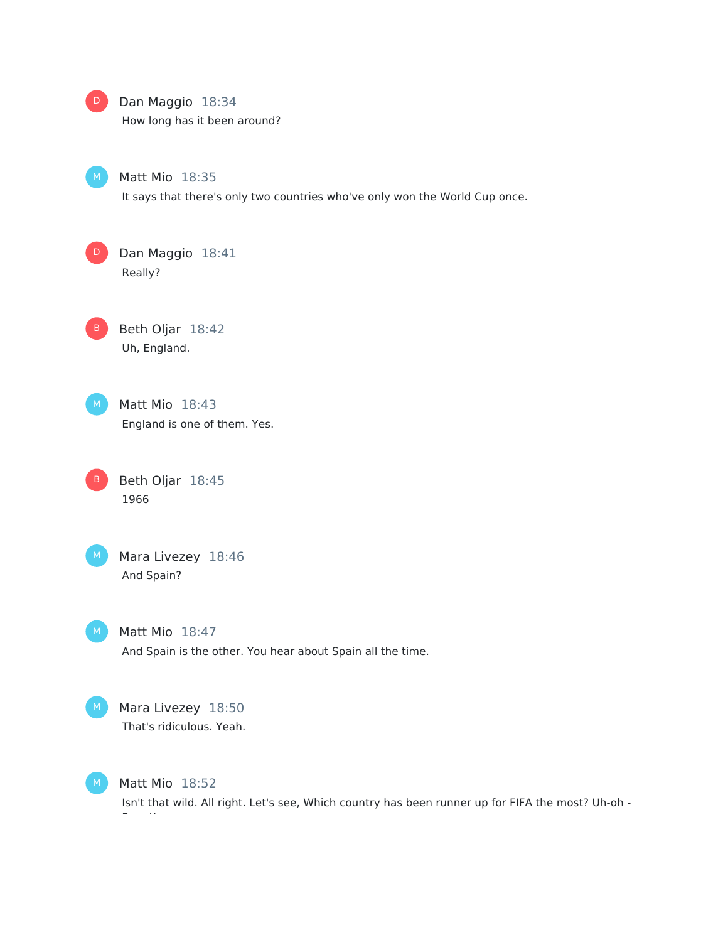

Isn't that wild. All right. Let's see, Which country has been runner up for FIFA the most? Uh-oh -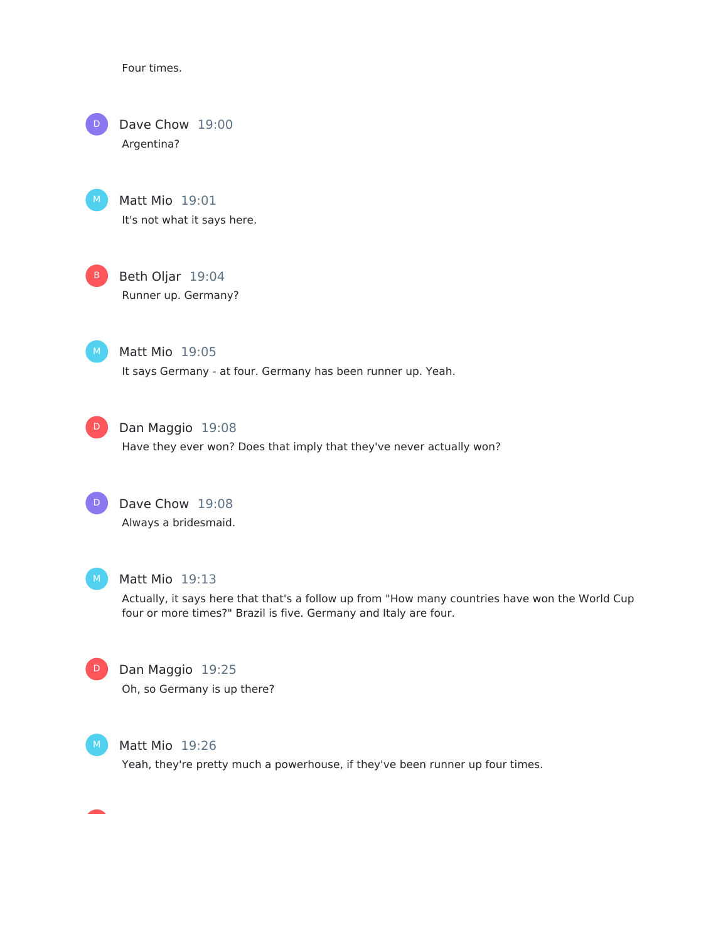Four times.

Dave Chow 19:00 Argentina? D



Matt Mio 19:01 It's not what it says here.



Beth Oljar 19:04 Runner up. Germany?



Matt Mio 19:05 It says Germany - at four. Germany has been runner up. Yeah.



### Dan Maggio 19:08

Have they ever won? Does that imply that they've never actually won?



# Dave Chow 19:08 Always a bridesmaid.



# Matt Mio 19:13

Actually, it says here that that's a follow up from "How many countries have won the World Cup four or more times?" Brazil is five. Germany and Italy are four.



# Dan Maggio 19:25 Oh, so Germany is up there?



#### Matt Mio 19:26

Yeah, they're pretty much a powerhouse, if they've been runner up four times.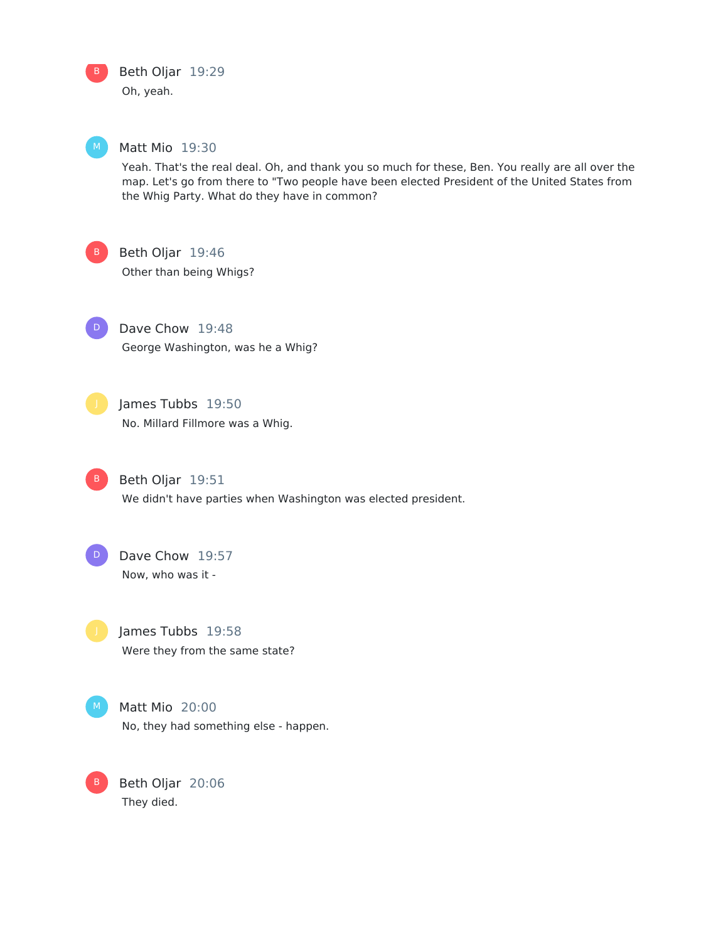

# Beth Oljar 19:29

Oh, yeah.

### Matt Mio 19:30

Yeah. That's the real deal. Oh, and thank you so much for these, Ben. You really are all over the map. Let's go from there to "Two people have been elected President of the United States from the Whig Party. What do they have in common?



Beth Oljar 19:46

Other than being Whigs?

Dave Chow 19:48 George Washington, was he a Whig? D

James Tubbs 19:50 No. Millard Fillmore was a Whig.



Beth Oljar 19:51 We didn't have parties when Washington was elected president.

Dave Chow 19:57 Now, who was it - D

James Tubbs 19:58 Were they from the same state?



B

Matt Mio 20:00 No, they had something else - happen.

Beth Oljar 20:06 They died.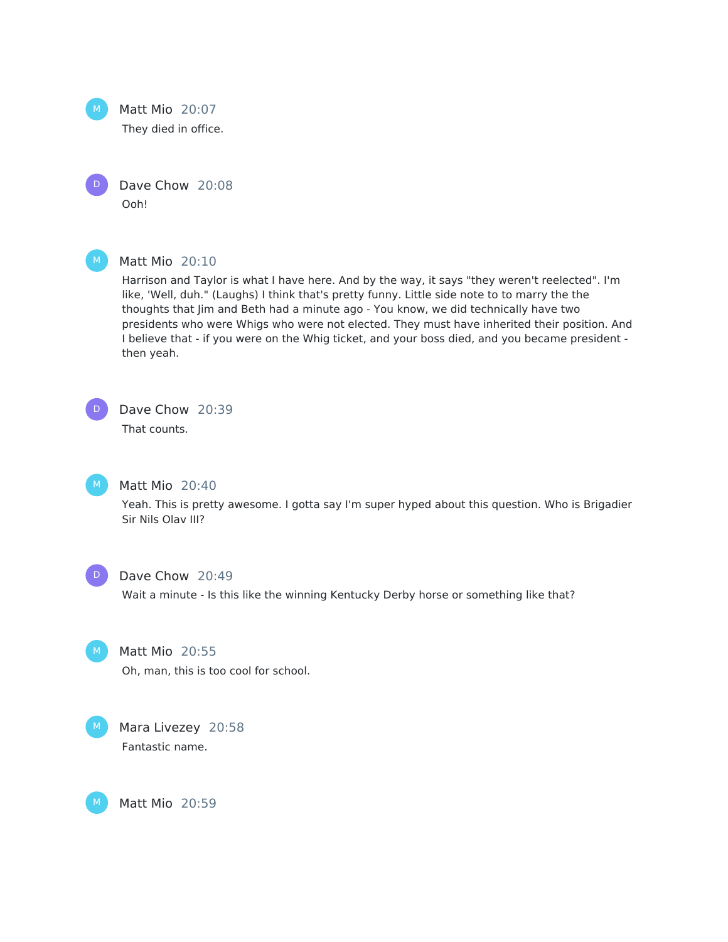

Matt Mio 20:07

They died in office.

Dave Chow 20:08 Ooh! D



Matt Mio 20:10

Harrison and Taylor is what I have here. And by the way, it says "they weren't reelected". I'm like, 'Well, duh." (Laughs) I think that's pretty funny. Little side note to to marry the the thoughts that Jim and Beth had a minute ago - You know, we did technically have two presidents who were Whigs who were not elected. They must have inherited their position. And I believe that - if you were on the Whig ticket, and your boss died, and you became president then yeah.

D

Dave Chow 20:39

That counts.

Matt Mio 20:40

Yeah. This is pretty awesome. I gotta say I'm super hyped about this question. Who is Brigadier Sir Nils Olav III?



Dave Chow 20:49

Wait a minute - Is this like the winning Kentucky Derby horse or something like that?



Matt Mio 20:55

Oh, man, this is too cool for school.



M

Mara Livezey 20:58 Fantastic name.

Matt Mio 20:59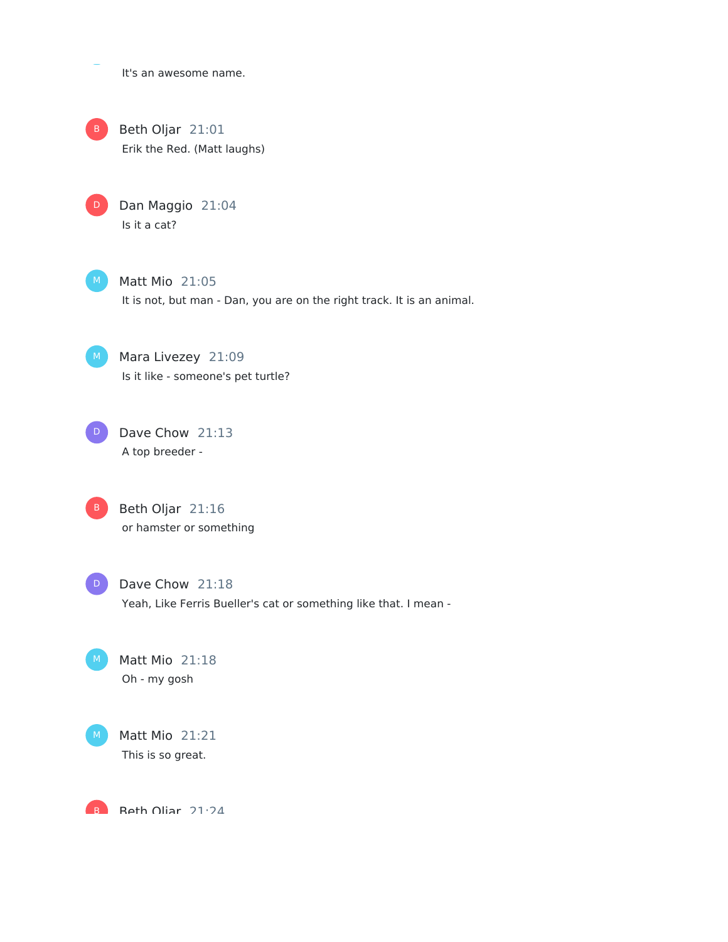It's an awesome name.

Beth Oljar 21:01 Erik the Red. (Matt laughs) B

Dan Maggio 21:04 Is it a cat?

 $M$ 

D

Matt Mio 21:05 It is not, but man - Dan, you are on the right track. It is an animal.

Mara Livezey 21:09 Is it like - someone's pet turtle?

Dave Chow 21:13 A top breeder -  $D$ 

> Beth Oljar 21:16 or hamster or something

D

Dave Chow 21:18 Yeah, Like Ferris Bueller's cat or something like that. I mean -

Matt Mio 21:18 Oh - my gosh



Matt Mio 21:21 This is so great.

 $\mathbf B$  Reth Oliar 21:24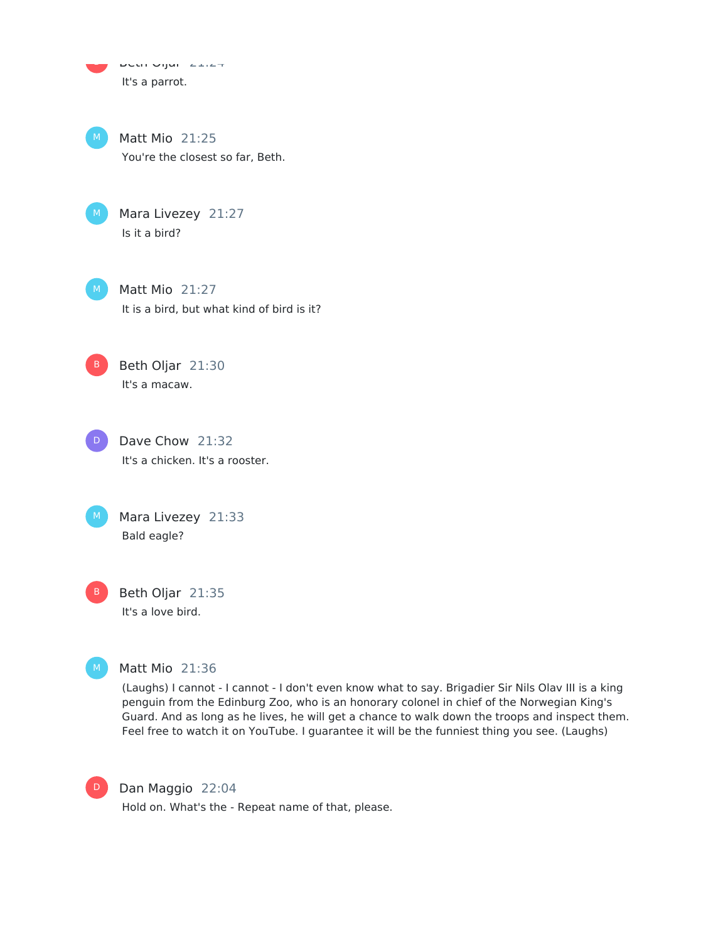Beth Oljar 21:24 It's a parrot. B

Matt Mio 21:25 You're the closest so far, Beth.



Mara Livezey 21:27 Is it a bird?

Matt Mio 21:27 It is a bird, but what kind of bird is it?

Beth Oljar 21:30 It's a macaw. B

Dave Chow 21:32 It's a chicken. It's a rooster. D

Mara Livezey 21:33 Bald eagle?  $M_{\odot}$ 

Beth Oljar 21:35 It's a love bird.



#### Matt Mio 21:36

(Laughs) I cannot - I cannot - I don't even know what to say. Brigadier Sir Nils Olav III is a king penguin from the Edinburg Zoo, who is an honorary colonel in chief of the Norwegian King's Guard. And as long as he lives, he will get a chance to walk down the troops and inspect them. Feel free to watch it on YouTube. I guarantee it will be the funniest thing you see. (Laughs)



Dan Maggio 22:04

Hold on. What's the - Repeat name of that, please.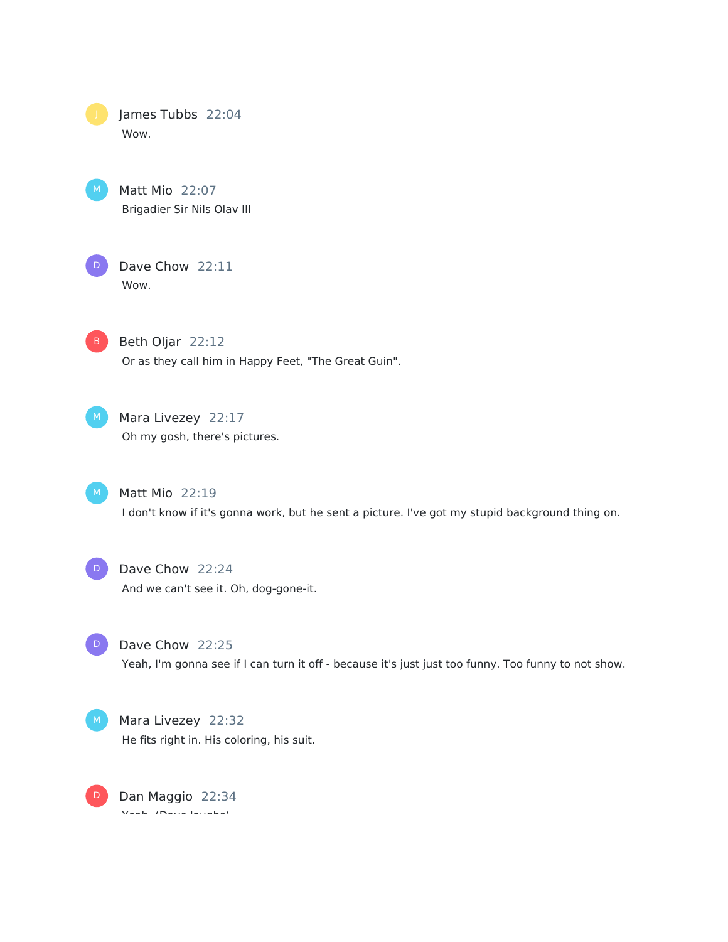James Tubbs 22:04 Wow.

> Matt Mio 22:07 Brigadier Sir Nils Olav III

D

Dave Chow 22:11 Wow.

B Beth Oljar 22:12 Or as they call him in Happy Feet, "The Great Guin".

M Mara Livezey 22:17 Oh my gosh, there's pictures.

 $M$ 

Matt Mio 22:19 I don't know if it's gonna work, but he sent a picture. I've got my stupid background thing on.

D Dave Chow 22:24 And we can't see it. Oh, dog-gone-it.

D Dave Chow 22:25 Yeah, I'm gonna see if I can turn it off - because it's just just too funny. Too funny to not show.

M Mara Livezey 22:32 He fits right in. His coloring, his suit.

Dan Maggio 22:34 Yeah. (Dave laughs)  $D$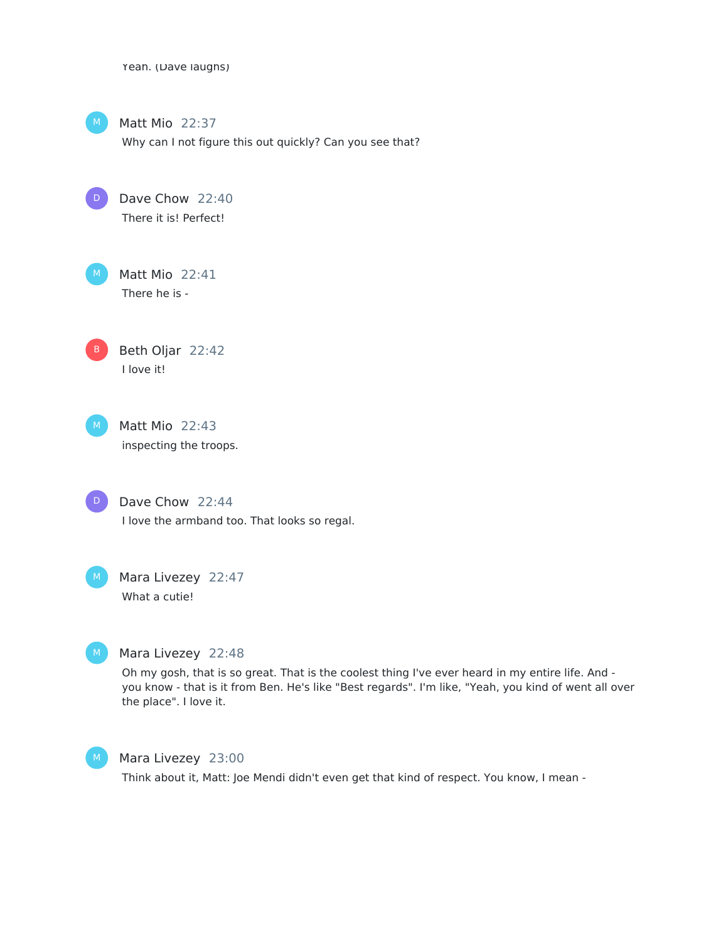Yeah. (Dave laughs)



D

Matt Mio 22:37

Why can I not figure this out quickly? Can you see that?

Dave Chow 22:40 There it is! Perfect!

Matt Mio 22:41 There he is -

> Beth Oljar 22:42 I love it!



Matt Mio 22:43 inspecting the troops.

Dave Chow 22:44 I love the armband too. That looks so regal.

D

Mara Livezey 22:47 What a cutie!



# Mara Livezey 22:48

Oh my gosh, that is so great. That is the coolest thing I've ever heard in my entire life. And you know - that is it from Ben. He's like "Best regards". I'm like, "Yeah, you kind of went all over the place". I love it.



#### Mara Livezey 23:00

Think about it, Matt: Joe Mendi didn't even get that kind of respect. You know, I mean -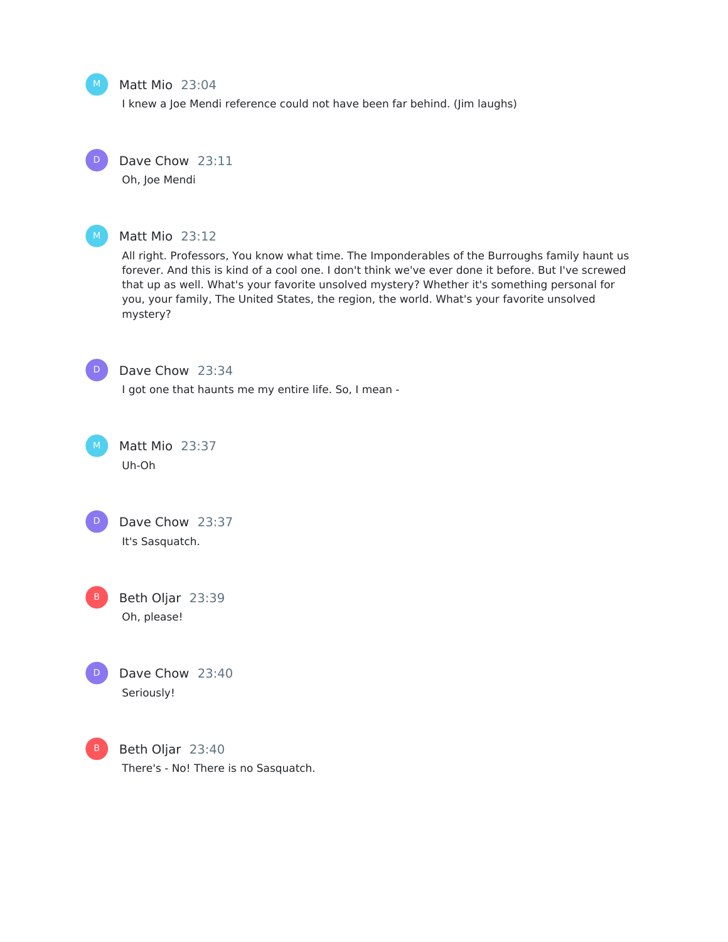# Matt Mio 23:04

I knew a Joe Mendi reference could not have been far behind. (Jim laughs)

Dave Chow 23:11  $D$ 

Oh, Joe Mendi



#### Matt Mio 23:12

All right. Professors, You know what time. The Imponderables of the Burroughs family haunt us forever. And this is kind of a cool one. I don't think we've ever done it before. But I've screwed that up as well. What's your favorite unsolved mystery? Whether it's something personal for you, your family, The United States, the region, the world. What's your favorite unsolved mystery?



# Dave Chow 23:34

I got one that haunts me my entire life. So, I mean -

Matt Mio 23:37 Uh-Oh



Beth Oljar 23:39 Oh, please!

Dave Chow 23:40 Seriously! D



Beth Oljar 23:40 There's - No! There is no Sasquatch.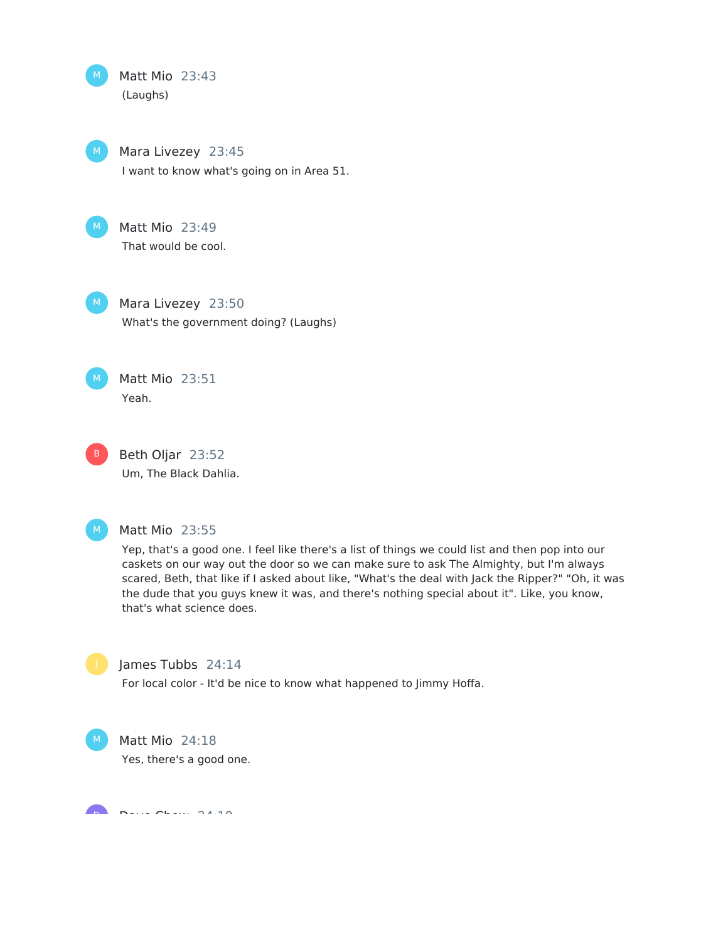Matt Mio 23:43 (Laughs)  $M_{\odot}$ 

Mara Livezey 23:45 I want to know what's going on in Area 51.  $M_{\odot}$ 



Matt Mio 23:49 That would be cool.

Mara Livezey 23:50 What's the government doing? (Laughs)  $M_{\odot}$ 



Matt Mio 23:51 Yeah.

Beth Oljar 23:52 Um, The Black Dahlia. B



#### Matt Mio 23:55

Yep, that's a good one. I feel like there's a list of things we could list and then pop into our caskets on our way out the door so we can make sure to ask The Almighty, but I'm always scared, Beth, that like if I asked about like, "What's the deal with Jack the Ripper?" "Oh, it was the dude that you guys knew it was, and there's nothing special about it". Like, you know, that's what science does.



# James Tubbs 24:14

For local color - It'd be nice to know what happened to Jimmy Hoffa.



Matt Mio 24:18 Yes, there's a good one.

 $\sim$   $\sim$   $\sim$   $\sim$   $\sim$   $\sim$ D.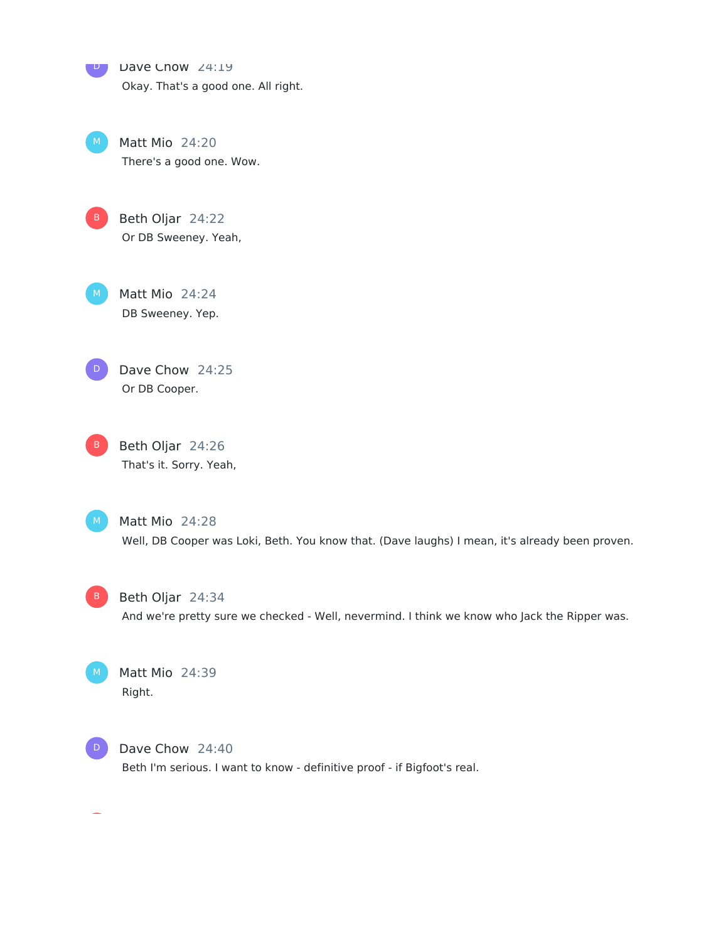D Dave Chow 24:19 Okay. That's a good one. All right.

Matt Mio 24:20 There's a good one. Wow.



Matt Mio 24:24 DB Sweeney. Yep.

Dave Chow 24:25 Or DB Cooper. **D** 

Beth Oljar 24:26 That's it. Sorry. Yeah,

> Matt Mio 24:28 Well, DB Cooper was Loki, Beth. You know that. (Dave laughs) I mean, it's already been proven.

Beth Oljar 24:34

And we're pretty sure we checked - Well, nevermind. I think we know who Jack the Ripper was.

Matt Mio 24:39 Right.



Dave Chow 24:40 Beth I'm serious. I want to know - definitive proof - if Bigfoot's real.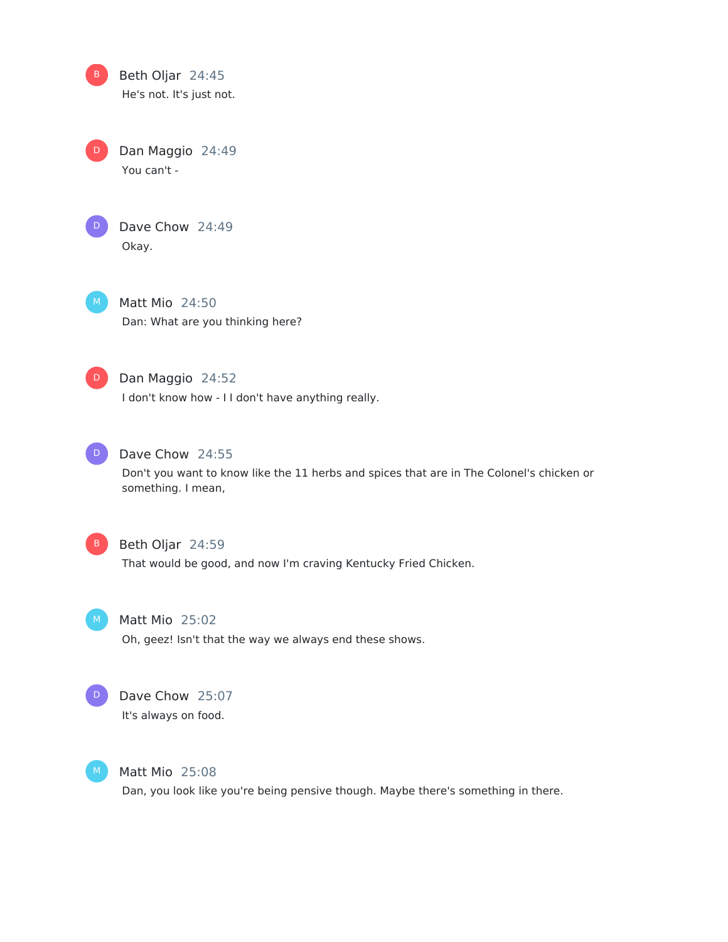Beth Oljar 24:45 He's not. It's just not. B

Dan Maggio 24:49 You can't - D



Dave Chow 24:49 Okay.

Matt Mio 24:50 Dan: What are you thinking here?



Dan Maggio 24:52

I don't know how - I I don't have anything really.



# Dave Chow 24:55

Don't you want to know like the 11 herbs and spices that are in The Colonel's chicken or something. I mean,



# Beth Oljar 24:59

That would be good, and now I'm craving Kentucky Fried Chicken.



#### Matt Mio 25:02

Oh, geez! Isn't that the way we always end these shows.



# Dave Chow 25:07

It's always on food.



#### Matt Mio 25:08

Dan, you look like you're being pensive though. Maybe there's something in there.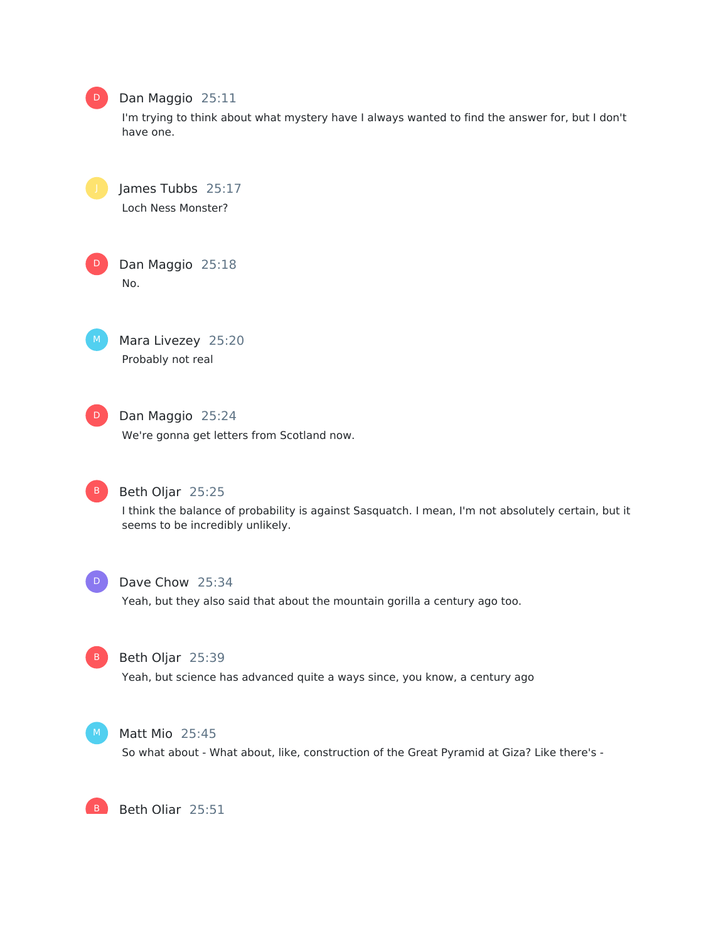

#### Dan Maggio 25:11

I'm trying to think about what mystery have I always wanted to find the answer for, but I don't have one.

James Tubbs 25:17 Loch Ness Monster?

D

Dan Maggio 25:18 No.

Mara Livezey 25:20 Probably not real  $M_{\odot}$ 



#### Dan Maggio 25:24

We're gonna get letters from Scotland now.



### Beth Oljar 25:25

I think the balance of probability is against Sasquatch. I mean, I'm not absolutely certain, but it seems to be incredibly unlikely.



#### Dave Chow 25:34

Yeah, but they also said that about the mountain gorilla a century ago too.



#### Beth Oljar 25:39

Yeah, but science has advanced quite a ways since, you know, a century ago



#### Matt Mio 25:45

So what about - What about, like, construction of the Great Pyramid at Giza? Like there's -

Beth Oliar 25:51  $\overline{B}$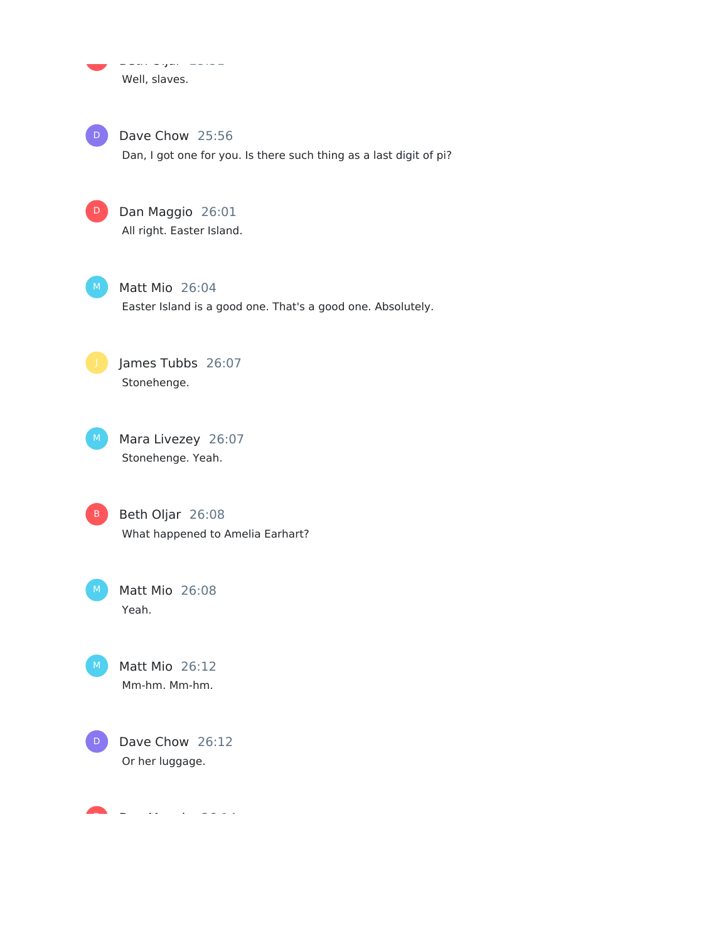Beth Oljar 25:51 Well, slaves. Dave Chow 25:56 Dan, I got one for you. Is there such thing as a last digit of pi? D Dan Maggio 26:01 All right. Easter Island.  $M$  Matt Mio 26:04 Easter Island is a good one. That's a good one. Absolutely. James Tubbs 26:07 Stonehenge. M Mara Livezey 26:07 Stonehenge. Yeah. B Beth Oljar 26:08 What happened to Amelia Earhart? Matt Mio 26:08 Yeah. Matt Mio 26:12 Mm-hm. Mm-hm. Dave Chow 26:12 Or her luggage.  $D$ D

Dan Maggio 26:14 D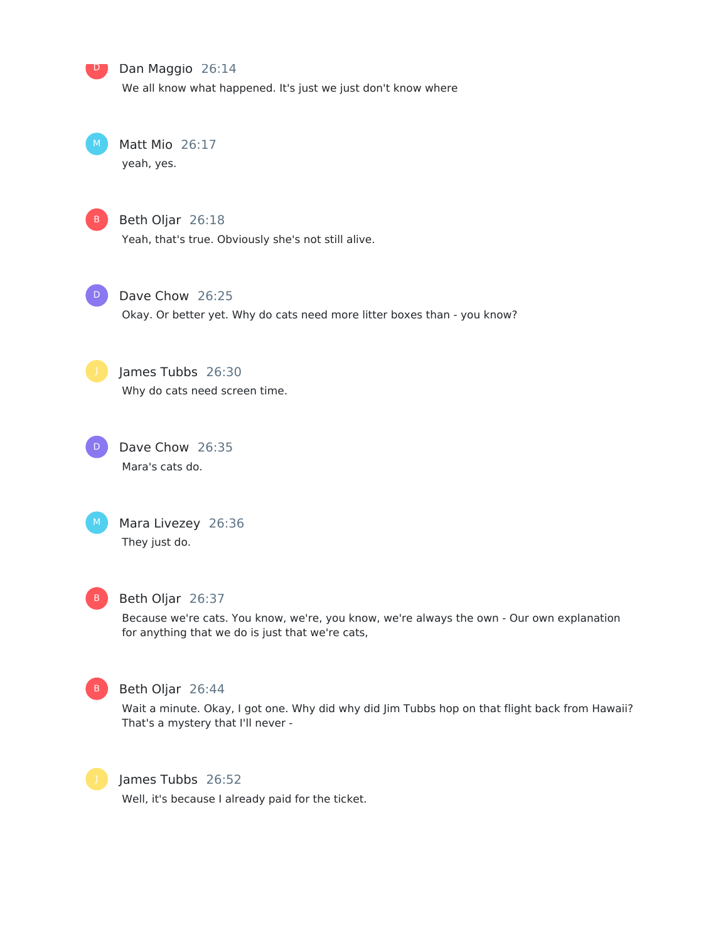

#### D Dan Maggio 26:14

We all know what happened. It's just we just don't know where

Matt Mio 26:17 yeah, yes.



#### Beth Oljar 26:18

Yeah, that's true. Obviously she's not still alive.



Dave Chow 26:25

Okay. Or better yet. Why do cats need more litter boxes than - you know?



James Tubbs 26:30 Why do cats need screen time.

Dave Chow 26:35 Mara's cats do. D





#### Beth Oljar 26:37

Because we're cats. You know, we're, you know, we're always the own - Our own explanation for anything that we do is just that we're cats,



#### B Beth Oljar 26:44

Wait a minute. Okay, I got one. Why did why did Jim Tubbs hop on that flight back from Hawaii? That's a mystery that I'll never -



#### James Tubbs 26:52

Well, it's because I already paid for the ticket.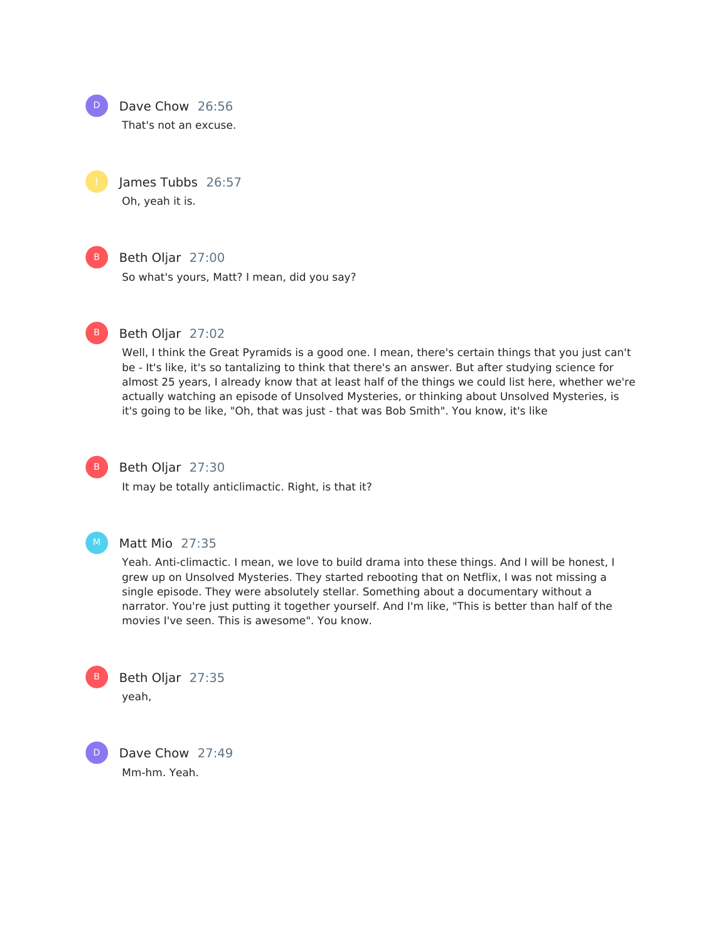

That's not an excuse.

James Tubbs 26:57 Oh, yeah it is.

B

#### Beth Oljar 27:00

So what's yours, Matt? I mean, did you say?



#### Beth Oljar 27:02

Well, I think the Great Pyramids is a good one. I mean, there's certain things that you just can't be - It's like, it's so tantalizing to think that there's an answer. But after studying science for almost 25 years, I already know that at least half of the things we could list here, whether we're actually watching an episode of Unsolved Mysteries, or thinking about Unsolved Mysteries, is it's going to be like, "Oh, that was just - that was Bob Smith". You know, it's like



#### Beth Oljar 27:30

It may be totally anticlimactic. Right, is that it?



#### Matt Mio 27:35

Yeah. Anti-climactic. I mean, we love to build drama into these things. And I will be honest, I grew up on Unsolved Mysteries. They started rebooting that on Netflix, I was not missing a single episode. They were absolutely stellar. Something about a documentary without a narrator. You're just putting it together yourself. And I'm like, "This is better than half of the movies I've seen. This is awesome". You know.



Dave Chow 27:49 Mm-hm. Yeah. D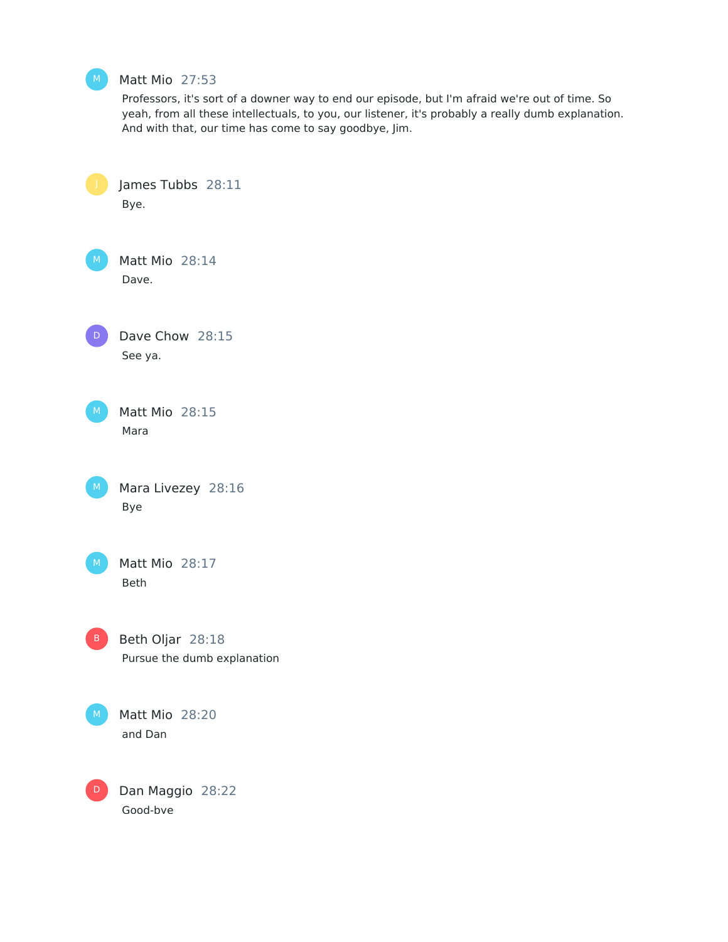

# Matt Mio 27:53

Professors, it's sort of a downer way to end our episode, but I'm afraid we're out of time. So yeah, from all these intellectuals, to you, our listener, it's probably a really dumb explanation. And with that, our time has come to say goodbye, Jim.

James Tubbs 28:11 Bye. Matt Mio 28:14 Dave. Dave Chow 28:15 See ya. Matt Mio 28:15 Mara Mara Livezey 28:16 Bye Matt Mio 28:17 Beth B Beth Oljar 28:18 Pursue the dumb explanation Matt Mio 28:20 and Dan D Dan Maggio 28:22 Good-bye  $D$  $M$  $\vert$  M  $\rangle$